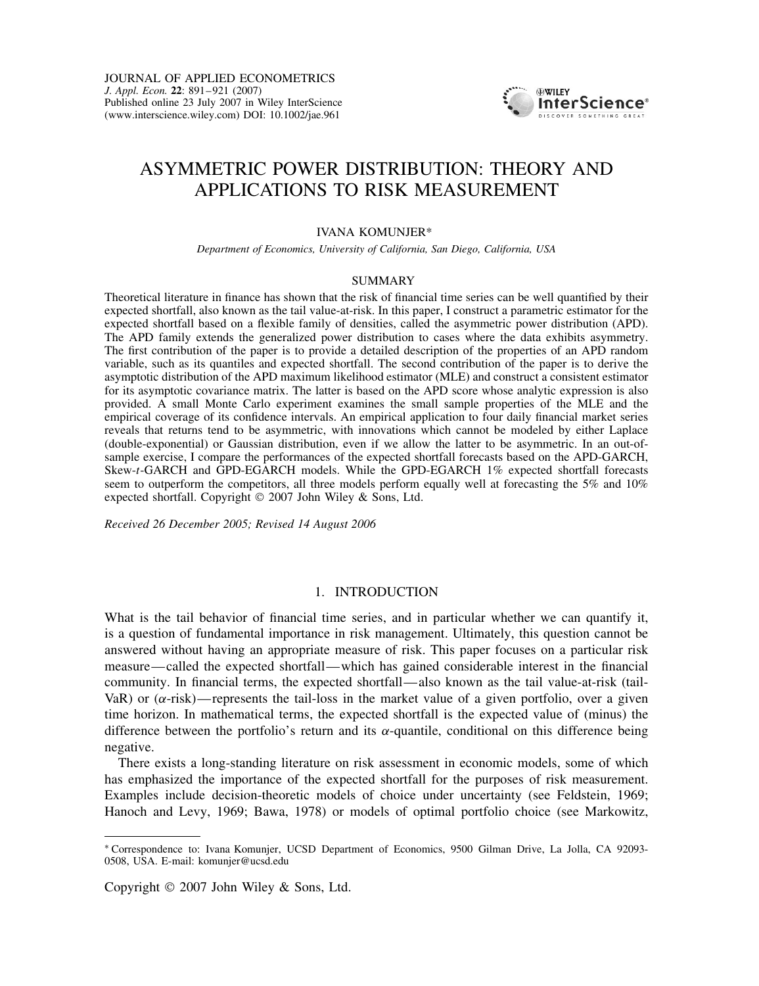

# ASYMMETRIC POWER DISTRIBUTION: THEORY AND APPLICATIONS TO RISK MEASUREMENT

## IVANA KOMUNJER\*

*Department of Economics, University of California, San Diego, California, USA*

#### SUMMARY

Theoretical literature in finance has shown that the risk of financial time series can be well quantified by their expected shortfall, also known as the tail value-at-risk. In this paper, I construct a parametric estimator for the expected shortfall based on a flexible family of densities, called the asymmetric power distribution (APD). The APD family extends the generalized power distribution to cases where the data exhibits asymmetry. The first contribution of the paper is to provide a detailed description of the properties of an APD random variable, such as its quantiles and expected shortfall. The second contribution of the paper is to derive the asymptotic distribution of the APD maximum likelihood estimator (MLE) and construct a consistent estimator for its asymptotic covariance matrix. The latter is based on the APD score whose analytic expression is also provided. A small Monte Carlo experiment examines the small sample properties of the MLE and the empirical coverage of its confidence intervals. An empirical application to four daily financial market series reveals that returns tend to be asymmetric, with innovations which cannot be modeled by either Laplace (double-exponential) or Gaussian distribution, even if we allow the latter to be asymmetric. In an out-ofsample exercise, I compare the performances of the expected shortfall forecasts based on the APD-GARCH, Skew-t-GARCH and GPD-EGARCH models. While the GPD-EGARCH 1% expected shortfall forecasts seem to outperform the competitors, all three models perform equally well at forecasting the 5% and 10% expected shortfall. Copyright  $\odot$  2007 John Wiley & Sons, Ltd.

*Received 26 December 2005; Revised 14 August 2006*

# 1. INTRODUCTION

What is the tail behavior of financial time series, and in particular whether we can quantify it, is a question of fundamental importance in risk management. Ultimately, this question cannot be answered without having an appropriate measure of risk. This paper focuses on a particular risk measure—called the expected shortfall—which has gained considerable interest in the financial community. In financial terms, the expected shortfall—also known as the tail value-at-risk (tail-VaR) or  $(\alpha$ -risk)—represents the tail-loss in the market value of a given portfolio, over a given time horizon. In mathematical terms, the expected shortfall is the expected value of (minus) the difference between the portfolio's return and its  $\alpha$ -quantile, conditional on this difference being negative.

There exists a long-standing literature on risk assessment in economic models, some of which has emphasized the importance of the expected shortfall for the purposes of risk measurement. Examples include decision-theoretic models of choice under uncertainty (see Feldstein, 1969; Hanoch and Levy, 1969; Bawa, 1978) or models of optimal portfolio choice (see Markowitz,

Copyright  $\odot$  2007 John Wiley & Sons, Ltd.

<sup>Ł</sup> Correspondence to: Ivana Komunjer, UCSD Department of Economics, 9500 Gilman Drive, La Jolla, CA 92093- 0508, USA. E-mail: komunjer@ucsd.edu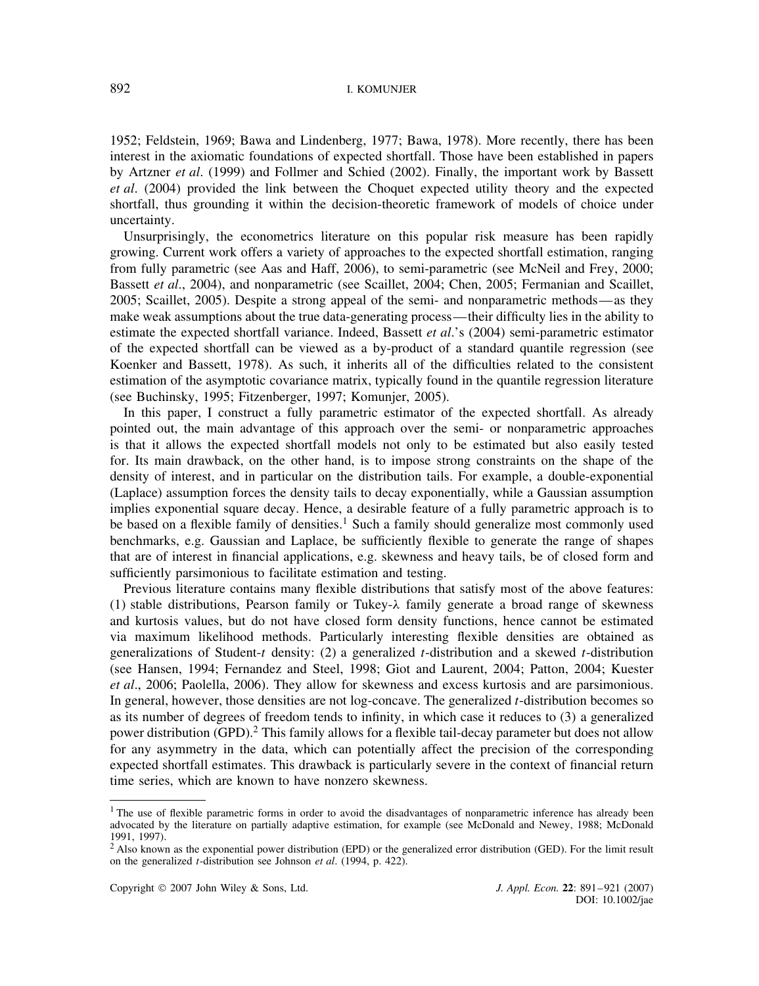1952; Feldstein, 1969; Bawa and Lindenberg, 1977; Bawa, 1978). More recently, there has been interest in the axiomatic foundations of expected shortfall. Those have been established in papers by Artzner *et al*. (1999) and Follmer and Schied (2002). Finally, the important work by Bassett *et al*. (2004) provided the link between the Choquet expected utility theory and the expected shortfall, thus grounding it within the decision-theoretic framework of models of choice under uncertainty.

Unsurprisingly, the econometrics literature on this popular risk measure has been rapidly growing. Current work offers a variety of approaches to the expected shortfall estimation, ranging from fully parametric (see Aas and Haff, 2006), to semi-parametric (see McNeil and Frey, 2000; Bassett *et al*., 2004), and nonparametric (see Scaillet, 2004; Chen, 2005; Fermanian and Scaillet, 2005; Scaillet, 2005). Despite a strong appeal of the semi- and nonparametric methods—as they make weak assumptions about the true data-generating process—their difficulty lies in the ability to estimate the expected shortfall variance. Indeed, Bassett *et al*.'s (2004) semi-parametric estimator of the expected shortfall can be viewed as a by-product of a standard quantile regression (see Koenker and Bassett, 1978). As such, it inherits all of the difficulties related to the consistent estimation of the asymptotic covariance matrix, typically found in the quantile regression literature (see Buchinsky, 1995; Fitzenberger, 1997; Komunjer, 2005).

In this paper, I construct a fully parametric estimator of the expected shortfall. As already pointed out, the main advantage of this approach over the semi- or nonparametric approaches is that it allows the expected shortfall models not only to be estimated but also easily tested for. Its main drawback, on the other hand, is to impose strong constraints on the shape of the density of interest, and in particular on the distribution tails. For example, a double-exponential (Laplace) assumption forces the density tails to decay exponentially, while a Gaussian assumption implies exponential square decay. Hence, a desirable feature of a fully parametric approach is to be based on a flexible family of densities.<sup>1</sup> Such a family should generalize most commonly used benchmarks, e.g. Gaussian and Laplace, be sufficiently flexible to generate the range of shapes that are of interest in financial applications, e.g. skewness and heavy tails, be of closed form and sufficiently parsimonious to facilitate estimation and testing.

Previous literature contains many flexible distributions that satisfy most of the above features: (1) stable distributions, Pearson family or Tukey- $\lambda$  family generate a broad range of skewness and kurtosis values, but do not have closed form density functions, hence cannot be estimated via maximum likelihood methods. Particularly interesting flexible densities are obtained as generalizations of Student-t density: (2) a generalized t-distribution and a skewed t-distribution (see Hansen, 1994; Fernandez and Steel, 1998; Giot and Laurent, 2004; Patton, 2004; Kuester *et al*., 2006; Paolella, 2006). They allow for skewness and excess kurtosis and are parsimonious. In general, however, those densities are not log-concave. The generalized t-distribution becomes so as its number of degrees of freedom tends to infinity, in which case it reduces to (3) a generalized power distribution (GPD).2 This family allows for a flexible tail-decay parameter but does not allow for any asymmetry in the data, which can potentially affect the precision of the corresponding expected shortfall estimates. This drawback is particularly severe in the context of financial return time series, which are known to have nonzero skewness.

<sup>&</sup>lt;sup>1</sup> The use of flexible parametric forms in order to avoid the disadvantages of nonparametric inference has already been advocated by the literature on partially adaptive estimation, for example (see McDonald and Newey, 1988; McDonald 1991, 1997).

 $<sup>2</sup>$  Also known as the exponential power distribution (EPD) or the generalized error distribution (GED). For the limit result</sup> on the generalized t-distribution see Johnson *et al*. (1994, p. 422).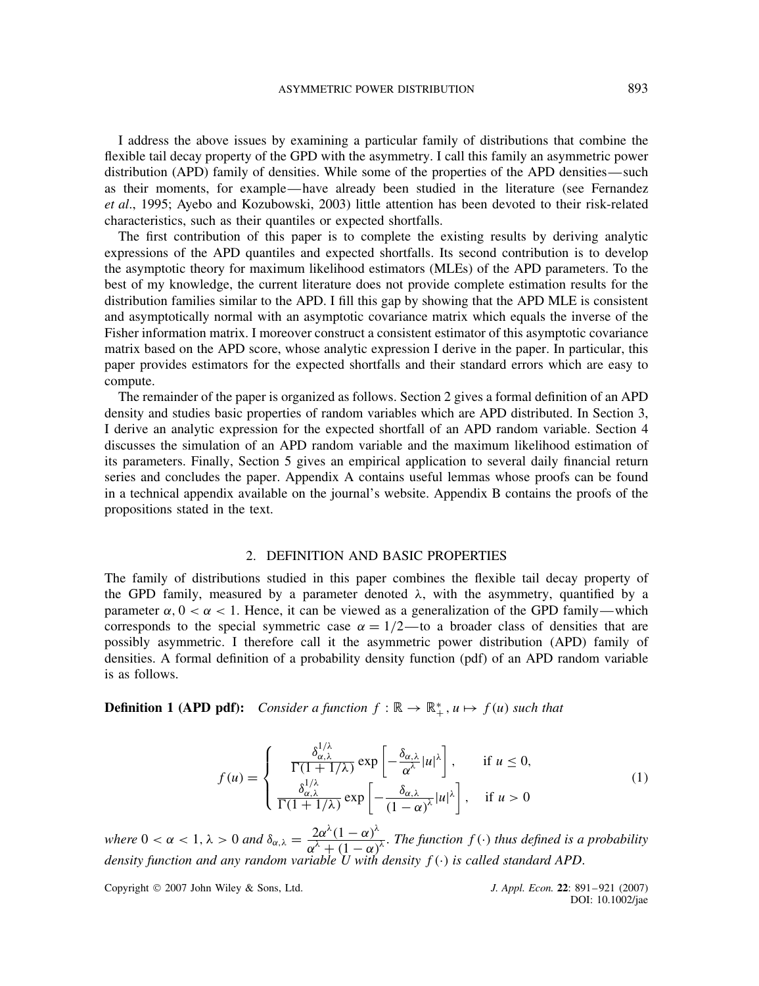I address the above issues by examining a particular family of distributions that combine the flexible tail decay property of the GPD with the asymmetry. I call this family an asymmetric power distribution (APD) family of densities. While some of the properties of the APD densities—such as their moments, for example—have already been studied in the literature (see Fernandez *et al*., 1995; Ayebo and Kozubowski, 2003) little attention has been devoted to their risk-related characteristics, such as their quantiles or expected shortfalls.

The first contribution of this paper is to complete the existing results by deriving analytic expressions of the APD quantiles and expected shortfalls. Its second contribution is to develop the asymptotic theory for maximum likelihood estimators (MLEs) of the APD parameters. To the best of my knowledge, the current literature does not provide complete estimation results for the distribution families similar to the APD. I fill this gap by showing that the APD MLE is consistent and asymptotically normal with an asymptotic covariance matrix which equals the inverse of the Fisher information matrix. I moreover construct a consistent estimator of this asymptotic covariance matrix based on the APD score, whose analytic expression I derive in the paper. In particular, this paper provides estimators for the expected shortfalls and their standard errors which are easy to compute.

The remainder of the paper is organized as follows. Section 2 gives a formal definition of an APD density and studies basic properties of random variables which are APD distributed. In Section 3, I derive an analytic expression for the expected shortfall of an APD random variable. Section 4 discusses the simulation of an APD random variable and the maximum likelihood estimation of its parameters. Finally, Section 5 gives an empirical application to several daily financial return series and concludes the paper. Appendix A contains useful lemmas whose proofs can be found in a technical appendix available on the journal's website. Appendix B contains the proofs of the propositions stated in the text.

## 2. DEFINITION AND BASIC PROPERTIES

The family of distributions studied in this paper combines the flexible tail decay property of the GPD family, measured by a parameter denoted  $\lambda$ , with the asymmetry, quantified by a parameter  $\alpha$ ,  $0 < \alpha < 1$ . Hence, it can be viewed as a generalization of the GPD family—which corresponds to the special symmetric case  $\alpha = 1/2$ —to a broader class of densities that are possibly asymmetric. I therefore call it the asymmetric power distribution (APD) family of densities. A formal definition of a probability density function (pdf) of an APD random variable is as follows.

**Definition 1 (APD pdf):** Consider a function  $f : \mathbb{R} \to \mathbb{R}_+^*$ ,  $u \mapsto f(u)$  such that

$$
f(u) = \begin{cases} \frac{\delta_{\alpha,\lambda}^{1/\lambda}}{\Gamma(1+1/\lambda)} \exp\left[-\frac{\delta_{\alpha,\lambda}}{\alpha^{\lambda}}|u|^{\lambda}\right], & \text{if } u \le 0, \\ \frac{\delta_{\alpha,\lambda}^{1/\lambda}}{\Gamma(1+1/\lambda)} \exp\left[-\frac{\delta_{\alpha,\lambda}}{(1-\alpha)^{\lambda}}|u|^{\lambda}\right], & \text{if } u > 0 \end{cases}
$$
(1)

*where*  $0 < \alpha < 1$ ,  $\lambda > 0$  *and*  $\delta_{\alpha,\lambda} = \frac{2\alpha^{\lambda}(1-\alpha)^{\lambda}}{\alpha^{\lambda}+(1-\alpha)^{\lambda}}$  $\frac{2\alpha}{\alpha^{\lambda} + (1 - \alpha)^{\lambda}}$ . The function  $f(\cdot)$  thus defined is a probability density function and any random variable U with density  $f(\cdot)$  is called standard APD.

Copyright 2007 John Wiley & Sons, Ltd. *J. Appl. Econ.* **22**: 891–921 (2007)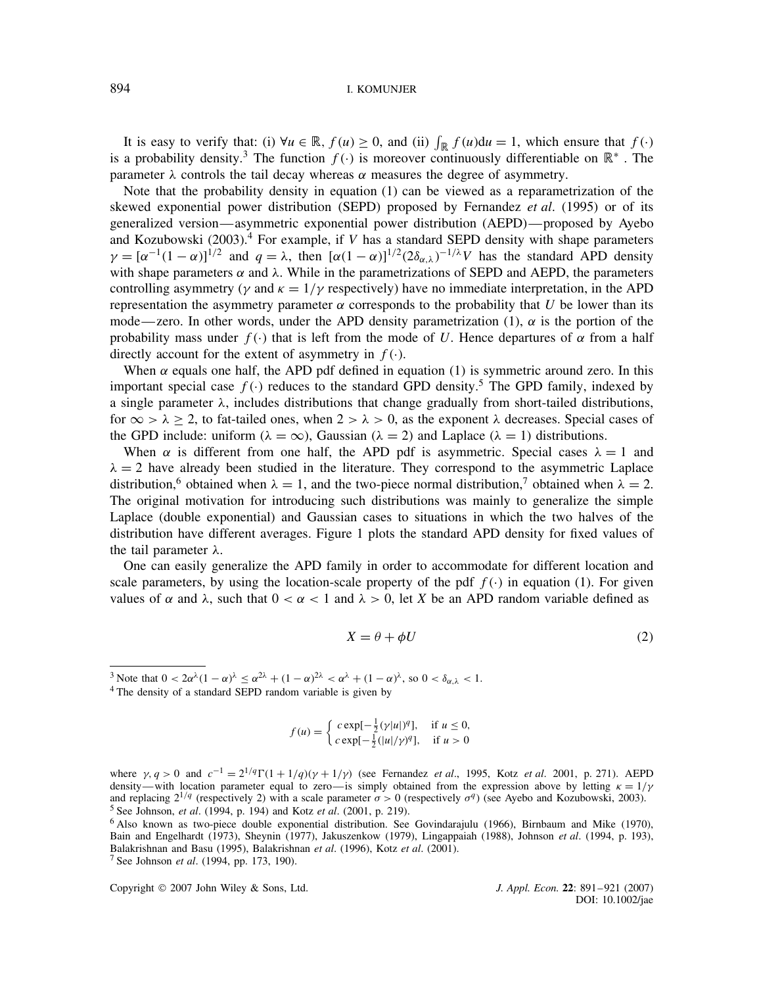It is easy to verify that: (i)  $\forall u \in \mathbb{R}$ ,  $f(u) \ge 0$ , and (ii)  $\int_{\mathbb{R}} f(u) du = 1$ , which ensure that  $f(\cdot)$ is a probability density.<sup>3</sup> The function  $f(\cdot)$  is moreover continuously differentiable on  $\mathbb{R}^*$ . The parameter  $\lambda$  controls the tail decay whereas  $\alpha$  measures the degree of asymmetry.

Note that the probability density in equation (1) can be viewed as a reparametrization of the skewed exponential power distribution (SEPD) proposed by Fernandez *et al*. (1995) or of its generalized version—asymmetric exponential power distribution (AEPD)—proposed by Ayebo and Kozubowski (2003).<sup>4</sup> For example, if V has a standard SEPD density with shape parameters  $\gamma = [\alpha^{-1}(1-\alpha)]^{1/2}$  and  $q = \lambda$ , then  $[\alpha(1-\alpha)]^{1/2} (2\delta_{\alpha,\lambda})^{-1/\lambda}V$  has the standard APD density with shape parameters  $\alpha$  and  $\lambda$ . While in the parametrizations of SEPD and AEPD, the parameters controlling asymmetry ( $\gamma$  and  $\kappa = 1/\gamma$  respectively) have no immediate interpretation, in the APD representation the asymmetry parameter  $\alpha$  corresponds to the probability that U be lower than its mode—zero. In other words, under the APD density parametrization (1),  $\alpha$  is the portion of the probability mass under  $f(\cdot)$  that is left from the mode of U. Hence departures of  $\alpha$  from a half directly account for the extent of asymmetry in  $f(\cdot)$ .

When  $\alpha$  equals one half, the APD pdf defined in equation (1) is symmetric around zero. In this important special case  $f(\cdot)$  reduces to the standard GPD density.<sup>5</sup> The GPD family, indexed by a single parameter  $\lambda$ , includes distributions that change gradually from short-tailed distributions, for  $\infty > \lambda \ge 2$ , to fat-tailed ones, when  $2 > \lambda > 0$ , as the exponent  $\lambda$  decreases. Special cases of the GPD include: uniform ( $\lambda = \infty$ ), Gaussian ( $\lambda = 2$ ) and Laplace ( $\lambda = 1$ ) distributions.

When  $\alpha$  is different from one half, the APD pdf is asymmetric. Special cases  $\lambda = 1$  and  $\lambda = 2$  have already been studied in the literature. They correspond to the asymmetric Laplace distribution,<sup>6</sup> obtained when  $\lambda = 1$ , and the two-piece normal distribution,<sup>7</sup> obtained when  $\lambda = 2$ . The original motivation for introducing such distributions was mainly to generalize the simple Laplace (double exponential) and Gaussian cases to situations in which the two halves of the distribution have different averages. Figure 1 plots the standard APD density for fixed values of the tail parameter  $\lambda$ .

One can easily generalize the APD family in order to accommodate for different location and scale parameters, by using the location-scale property of the pdf  $f(\cdot)$  in equation (1). For given values of  $\alpha$  and  $\lambda$ , such that  $0 < \alpha < 1$  and  $\lambda > 0$ , let X be an APD random variable defined as

$$
X = \theta + \phi U \tag{2}
$$

$$
f(u) = \begin{cases} c \exp[-\frac{1}{2}(\gamma|u|)^q], & \text{if } u \le 0, \\ c \exp[-\frac{1}{2}(|u|/\gamma)^q], & \text{if } u > 0 \end{cases}
$$

<sup>&</sup>lt;sup>3</sup> Note that  $0 < 2\alpha^{\lambda}(1-\alpha)^{\lambda} \le \alpha^{2\lambda} + (1-\alpha)^{2\lambda} < \alpha^{\lambda} + (1-\alpha)^{\lambda}$ , so  $0 < \delta_{\alpha,\lambda} < 1$ .<br><sup>4</sup> The density of a standard SEPD random variable is given by

where  $\gamma$ ,  $q > 0$  and  $c^{-1} = 2^{1/q} \Gamma(1 + 1/q)(\gamma + 1/\gamma)$  (see Fernandez *et al.*, 1995, Kotz *et al.* 2001, p. 271). AEPD density—with location parameter equal to zero—is simply obtained from the expression above by letting  $\kappa = 1/\gamma$ and replacing  $2^{1/q}$  (respectively 2) with a scale parameter  $\sigma > 0$  (respectively  $\sigma^q$ ) (see Ayebo and Kozubowski, 2003). <sup>5</sup> See Johnson, *et al*. (1994, p. 194) and Kotz *et al*. (2001, p. 219).

<sup>6</sup> Also known as two-piece double exponential distribution. See Govindarajulu (1966), Birnbaum and Mike (1970), Bain and Engelhardt (1973), Sheynin (1977), Jakuszenkow (1979), Lingappaiah (1988), Johnson *et al*. (1994, p. 193), Balakrishnan and Basu (1995), Balakrishnan *et al*. (1996), Kotz *et al*. (2001). <sup>7</sup> See Johnson *et al*. (1994, pp. 173, 190).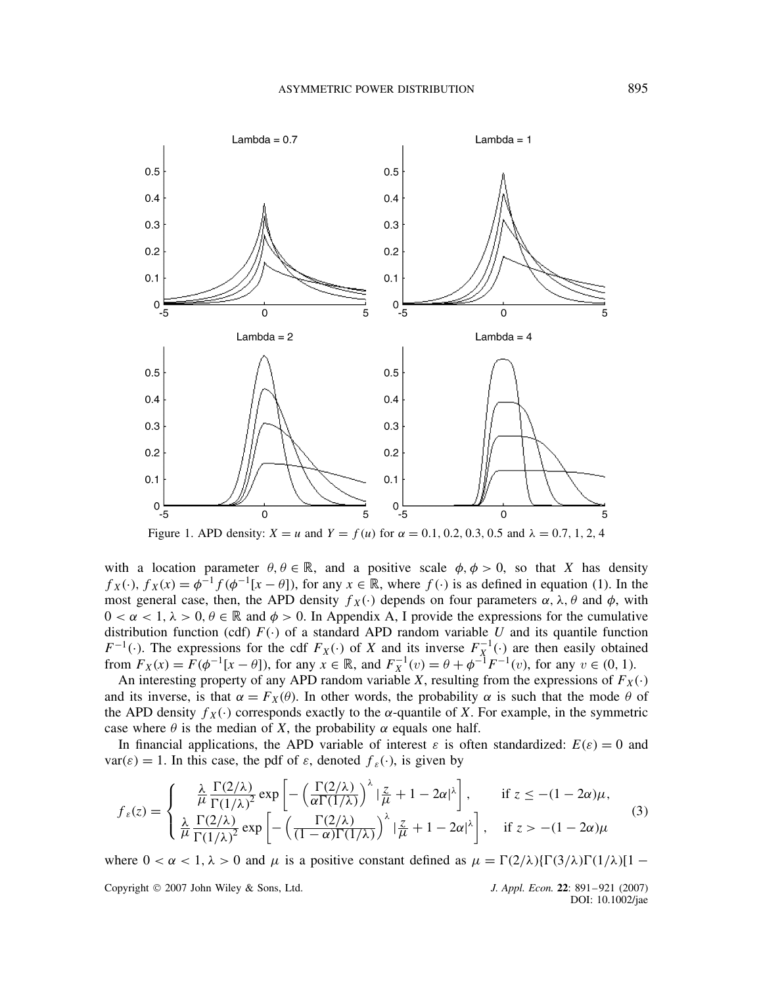

with a location parameter  $\theta$ ,  $\theta \in \mathbb{R}$ , and a positive scale  $\phi$ ,  $\phi > 0$ , so that X has density  $f_X(\cdot)$ ,  $f_X(x) = \phi^{-1} f(\phi^{-1}[x - \theta])$ , for any  $x \in \mathbb{R}$ , where  $f(\cdot)$  is as defined in equation (1). In the most general case, then, the APD density  $f_X(\cdot)$  depends on four parameters  $\alpha$ ,  $\lambda$ ,  $\theta$  and  $\phi$ , with  $0 < \alpha < 1, \lambda > 0, \theta \in \mathbb{R}$  and  $\phi > 0$ . In Appendix A, I provide the expressions for the cumulative distribution function (cdf)  $F(\cdot)$  of a standard APD random variable U and its quantile function  $F^{-1}(\cdot)$ . The expressions for the cdf  $F_X(\cdot)$  of X and its inverse  $F_X^{-1}(\cdot)$  are then easily obtained from  $F_X(x) = F(\phi^{-1}[x - \theta])$ , for any  $x \in \mathbb{R}$ , and  $F_X^{-1}(v) = \theta + \phi^{-1}F^{-1}(v)$ , for any  $v \in (0, 1)$ .

An interesting property of any APD random variable X, resulting from the expressions of  $F_X(\cdot)$ and its inverse, is that  $\alpha = F_X(\theta)$ . In other words, the probability  $\alpha$  is such that the mode  $\theta$  of the APD density  $f_X(\cdot)$  corresponds exactly to the  $\alpha$ -quantile of X. For example, in the symmetric case where  $\theta$  is the median of X, the probability  $\alpha$  equals one half.

In financial applications, the APD variable of interest  $\varepsilon$  is often standardized:  $E(\varepsilon) = 0$  and  $var(\varepsilon) = 1$ . In this case, the pdf of  $\varepsilon$ , denoted  $f_{\varepsilon}(\cdot)$ , is given by

$$
f_{\varepsilon}(z) = \begin{cases} \frac{\lambda}{\mu} \frac{\Gamma(2/\lambda)}{\Gamma(1/\lambda)^2} \exp\left[-\left(\frac{\Gamma(2/\lambda)}{\alpha \Gamma(1/\lambda)}\right)^{\lambda} |\frac{z}{\mu} + 1 - 2\alpha|^{\lambda}\right], & \text{if } z \le -(1 - 2\alpha)\mu, \\ \frac{\lambda}{\mu} \frac{\Gamma(2/\lambda)}{\Gamma(1/\lambda)^2} \exp\left[-\left(\frac{\Gamma(2/\lambda)}{(1 - \alpha)\Gamma(1/\lambda)}\right)^{\lambda} |\frac{z}{\mu} + 1 - 2\alpha|^{\lambda}\right], & \text{if } z > -(1 - 2\alpha)\mu \end{cases}
$$
(3)

where  $0 < \alpha < 1$ ,  $\lambda > 0$  and  $\mu$  is a positive constant defined as  $\mu = \Gamma(2/\lambda)\{\Gamma(3/\lambda)\Gamma(1/\lambda)\}$  –

Copyright 2007 John Wiley & Sons, Ltd. *J. Appl. Econ.* **22**: 891–921 (2007)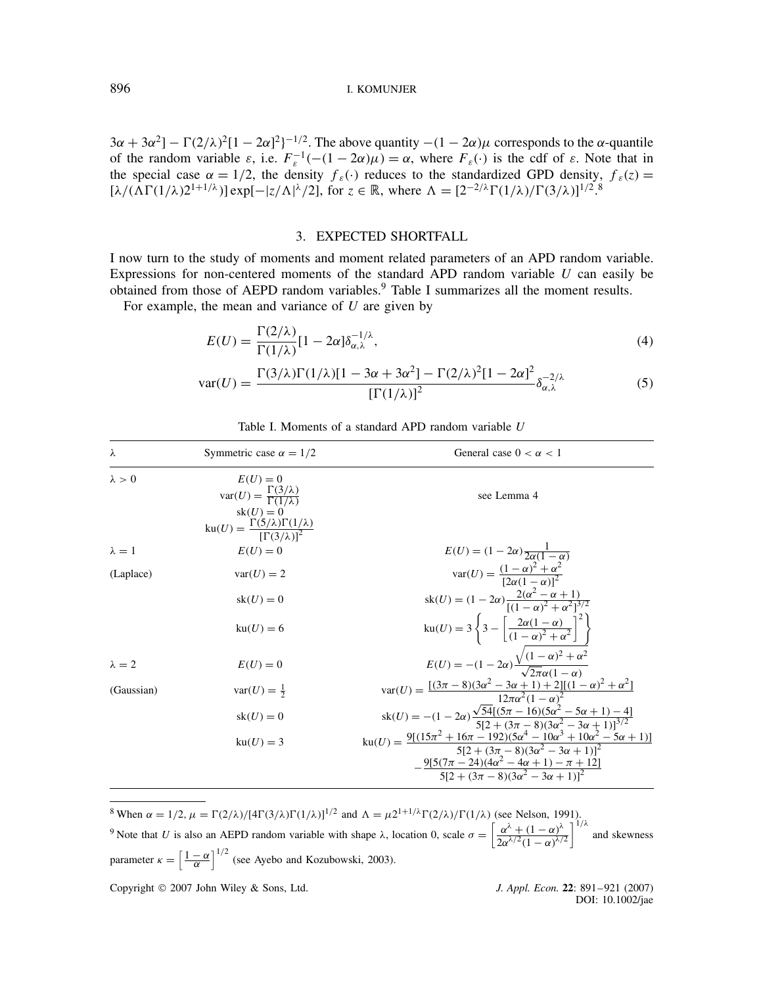$3\alpha + 3\alpha^2$ ] –  $\Gamma(2/\lambda)^2[1 - 2\alpha]^2$ <sup>-1/2</sup>. The above quantity  $-(1 - 2\alpha)\mu$  corresponds to the  $\alpha$ -quantile of the random variable  $\varepsilon$ , i.e.  $F_{\varepsilon}^{-1}(-(1-2\alpha)\mu) = \alpha$ , where  $F_{\varepsilon}(\cdot)$  is the cdf of  $\varepsilon$ . Note that in the special case  $\alpha = 1/2$ , the density  $f_{\varepsilon}(\cdot)$  reduces to the standardized GPD density,  $f_{\varepsilon}(z) =$  $[\lambda/(\Lambda \Gamma(1/\lambda)2^{1+1/\lambda})] \exp[-|z/\Lambda|^{\lambda}/2]$ , for  $z \in \mathbb{R}$ , where  $\Lambda = [2^{-2/\lambda} \Gamma(1/\lambda)/\Gamma(3/\lambda)]^{1/2}$ .<sup>8</sup>

## 3. EXPECTED SHORTFALL

I now turn to the study of moments and moment related parameters of an APD random variable. Expressions for non-centered moments of the standard APD random variable  $U$  can easily be obtained from those of AEPD random variables.<sup>9</sup> Table I summarizes all the moment results.

For example, the mean and variance of  $U$  are given by

$$
E(U) = \frac{\Gamma(2/\lambda)}{\Gamma(1/\lambda)} [1 - 2\alpha] \delta_{\alpha,\lambda}^{-1/\lambda},
$$
\n(4)

$$
\text{var}(U) = \frac{\Gamma(3/\lambda)\Gamma(1/\lambda)[1 - 3\alpha + 3\alpha^2] - \Gamma(2/\lambda)^2[1 - 2\alpha]^2}{[\Gamma(1/\lambda)]^2} \delta_{\alpha,\lambda}^{-2/\lambda}
$$
(5)

| λ             | Symmetric case $\alpha = 1/2$                                                                                                                                          | General case $0 < \alpha < 1$                                                                                                                |
|---------------|------------------------------------------------------------------------------------------------------------------------------------------------------------------------|----------------------------------------------------------------------------------------------------------------------------------------------|
| $\lambda > 0$ | $E(U)=0$<br>$\text{var}(U) = \frac{\Gamma(3/\lambda)}{\Gamma(1/\lambda)}$<br>$sk(U) = 0$<br>$ku(U) = \frac{\Gamma(5/\lambda)\Gamma(1/\lambda)}{[\Gamma(3/\lambda)]^2}$ | see Lemma 4                                                                                                                                  |
| $\lambda = 1$ | $E(U) = 0$                                                                                                                                                             | $E(U) = (1 - 2\alpha) \frac{1}{2\alpha(1 - \alpha)}$                                                                                         |
| (Laplace)     | $var(U) = 2$                                                                                                                                                           | $\text{var}(U) = \frac{(1-\alpha)^2 + \alpha^2}{[2\alpha(1-\alpha)]^2}$                                                                      |
|               | $sk(U) = 0$                                                                                                                                                            | $sk(U) = (1 - 2\alpha) \frac{2(\alpha^2 - \alpha + 1)}{[(1 - \alpha)^2 + \alpha^2]^{3/2}}$                                                   |
|               | $ku(U) = 6$                                                                                                                                                            | ku(U) = $3\left\{3 - \left[\frac{2\alpha(1-\alpha)}{(1-\alpha)^2 + \alpha^2}\right]^2\right\}$                                               |
| $\lambda = 2$ | $E(U)=0$                                                                                                                                                               | $E(U) = -(1 - 2\alpha) \frac{\sqrt{(1 - \alpha)^2 + \alpha^2}}{\sqrt{2\pi}\alpha(1 - \alpha)}$                                               |
| (Gaussian)    | $var(U) = \frac{1}{2}$                                                                                                                                                 | $var(U) = \frac{[(3\pi - 8)(3\alpha^2 - 3\alpha + 1) + 2][(1 - \alpha)^2 + \alpha^2]}{12\pi\alpha^2(1 - \alpha)^2}$                          |
|               | $sk(U) = 0$                                                                                                                                                            | $sk(U) = -(1 - 2\alpha) \frac{\sqrt{54[(5\pi - 16)(5\alpha^2 - 5\alpha + 1) - 4]}}{5[2 + (3\pi - 8)(3\alpha^2 - 3\alpha + 1)]^{3/2}}$        |
|               | $ku(U) = 3$                                                                                                                                                            | $ku(U) = \frac{9[(15\pi^2 + 16\pi - 192)(5\alpha^4 - 10\alpha^3 + 10\alpha^2 - 5\alpha + 1)]}{5[2 + (3\pi - 8)(3\alpha^2 - 3\alpha + 1)]^2}$ |
|               |                                                                                                                                                                        | $-\frac{9[5(7\pi-24)(4\alpha^2-4\alpha+1)-\pi+12]}{5[2+(3\pi-8)(3\alpha^2-3\alpha+1)]^2}$                                                    |

Table I. Moments of a standard APD random variable U

<sup>8</sup> When  $\alpha = 1/2$ ,  $\mu = \Gamma(2/\lambda)/[4\Gamma(3/\lambda)\Gamma(1/\lambda)]^{1/2}$  and  $\Lambda = \mu 2^{1+1/\lambda}\Gamma(2/\lambda)/\Gamma(1/\lambda)$  (see Nelson, 1991). <sup>9</sup> Note that U is also an AEPD random variable with shape  $\lambda$ , location 0, scale  $\sigma = \left[\frac{\alpha^{\lambda} + (1 - \alpha)^{\lambda}}{\alpha - \lambda^{2}}\right]$  $2\alpha^{\lambda/2}(1-\alpha)^{\lambda/2}$  $\int_{0}^{1/\lambda}$  and skewness parameter  $\kappa = \left[\frac{1-\alpha}{\alpha}\right]^{1/2}$  (see Ayebo and Kozubowski, 2003).

Copyright 2007 John Wiley & Sons, Ltd. *J. Appl. Econ.* **22**: 891–921 (2007)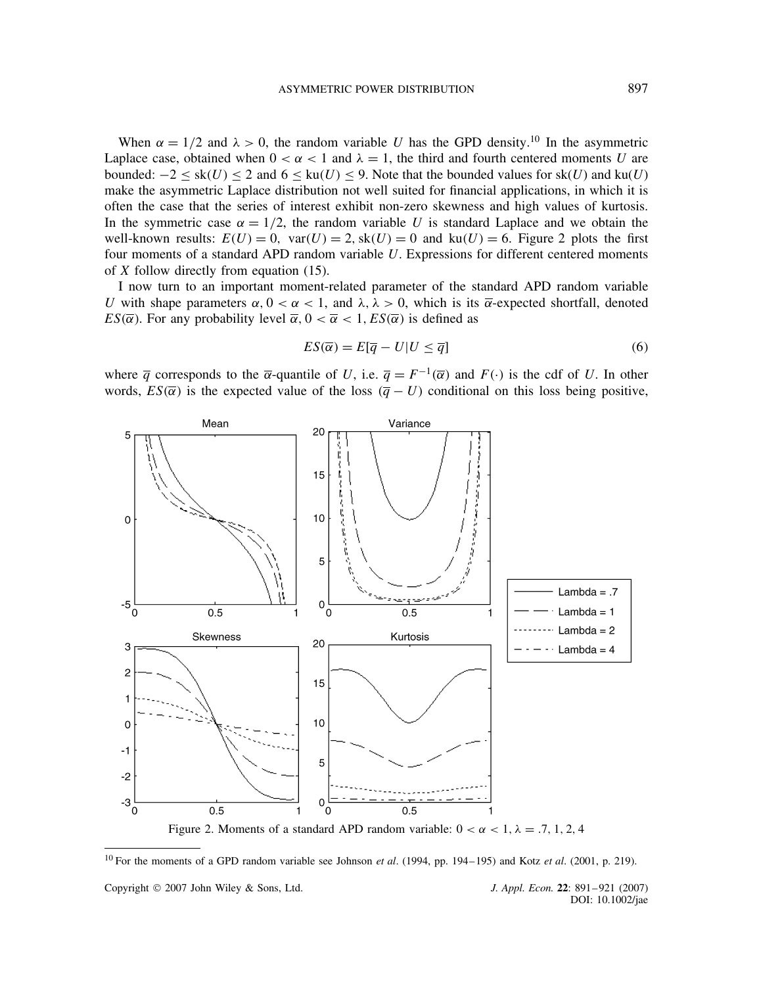When  $\alpha = 1/2$  and  $\lambda > 0$ , the random variable U has the GPD density.<sup>10</sup> In the asymmetric Laplace case, obtained when  $0 < \alpha < 1$  and  $\lambda = 1$ , the third and fourth centered moments U are bounded:  $-2 \le sk(U) \le 2$  and  $6 \le ku(U) \le 9$ . Note that the bounded values for  $sk(U)$  and  $ku(U)$ make the asymmetric Laplace distribution not well suited for financial applications, in which it is often the case that the series of interest exhibit non-zero skewness and high values of kurtosis. In the symmetric case  $\alpha = 1/2$ , the random variable U is standard Laplace and we obtain the well-known results:  $E(U) = 0$ ,  $var(U) = 2$ ,  $sk(U) = 0$  and  $ku(U) = 6$ . Figure 2 plots the first four moments of a standard APD random variable U. Expressions for different centered moments of  $X$  follow directly from equation (15).

I now turn to an important moment-related parameter of the standard APD random variable U with shape parameters  $\alpha$ ,  $0 < \alpha < 1$ , and  $\lambda$ ,  $\lambda > 0$ , which is its  $\overline{\alpha}$ -expected shortfall, denoted  $ES(\overline{\alpha})$ . For any probability level  $\overline{\alpha}$ ,  $0 < \overline{\alpha} < 1$ ,  $ES(\overline{\alpha})$  is defined as

$$
ES(\overline{\alpha}) = E[\overline{q} - U | U \le \overline{q}] \tag{6}
$$

where  $\overline{q}$  corresponds to the  $\overline{\alpha}$ -quantile of U, i.e.  $\overline{q} = F^{-1}(\overline{\alpha})$  and  $F(\cdot)$  is the cdf of U. In other words,  $ES(\bar{\alpha})$  is the expected value of the loss  $(\bar{q} - U)$  conditional on this loss being positive,



<sup>10</sup> For the moments of a GPD random variable see Johnson *et al*. (1994, pp. 194–195) and Kotz *et al*. (2001, p. 219).

Copyright 2007 John Wiley & Sons, Ltd. *J. Appl. Econ.* **22**: 891–921 (2007)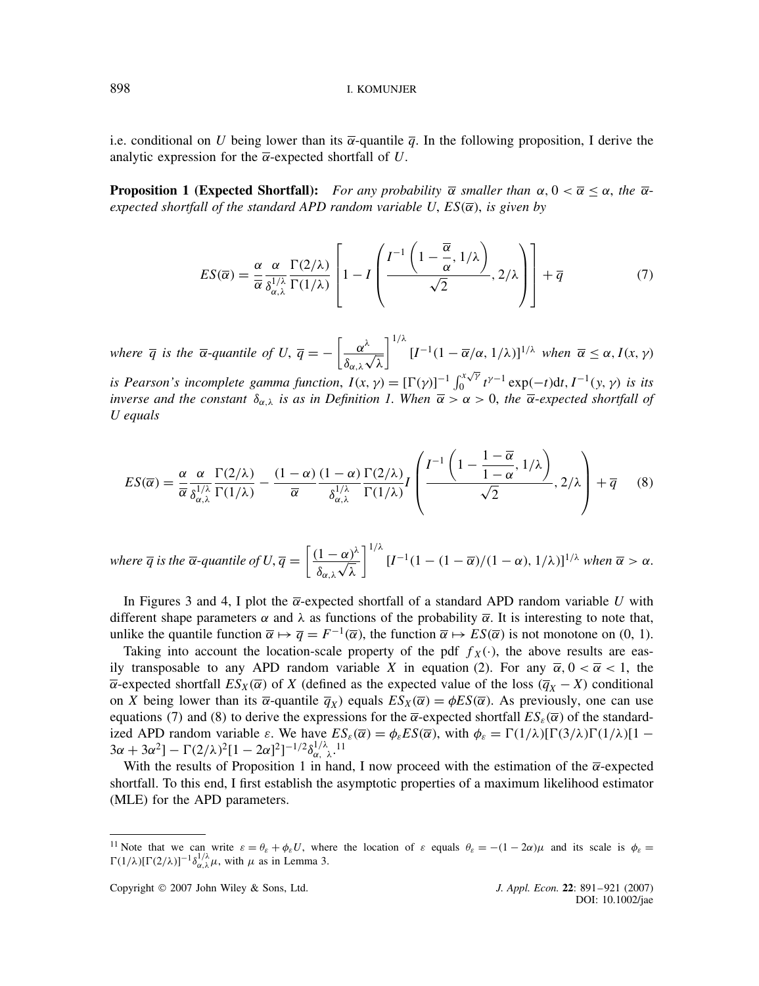i.e. conditional on U being lower than its  $\overline{\alpha}$ -quantile  $\overline{\alpha}$ . In the following proposition, I derive the analytic expression for the  $\overline{\alpha}$ -expected shortfall of U.

**Proposition 1 (Expected Shortfall):** For any probability  $\overline{\alpha}$  smaller than  $\alpha, 0 < \overline{\alpha} \leq \alpha$ , the  $\overline{\alpha}$  $e$ xpected shortfall of the standard APD random variable U,  $ES(\overline{\alpha})$ , is given by

$$
ES(\overline{\alpha}) = \frac{\alpha}{\overline{\alpha}} \frac{\alpha}{\delta_{\alpha,\lambda}^{1/\lambda}} \frac{\Gamma(2/\lambda)}{\Gamma(1/\lambda)} \left[ 1 - I \left( \frac{I^{-1} \left( 1 - \frac{\overline{\alpha}}{\alpha}, 1/\lambda \right)}{\sqrt{2}}, 2/\lambda \right) \right] + \overline{q}
$$
(7)

*where*  $\overline{q}$  *is the*  $\overline{\alpha}$ -*quantile of U*,  $\overline{q} = -\left[\frac{\alpha^{\lambda}}{q}\right]$  $\delta_{\alpha,\lambda}$  $\ddot{\ }$ λ  $\int_1^{1/\lambda} [I^{-1}(1-\overline{\alpha}/\alpha, 1/\lambda)]^{1/\lambda}$  when  $\overline{\alpha} \leq \alpha, I(x, \gamma)$ *is Pearson's incomplete gamma function,*  $I(x, y) = [\Gamma(y)]^{-1} \int_0^{x\sqrt{y}}$  $\int_0^{x/\gamma} t^{\gamma-1} \exp(-t) dt, I^{-1}(y, \gamma)$  is its *inverse and the constant*  $\delta_{\alpha,\lambda}$  *is as in Definition 1. When*  $\overline{\alpha} > \alpha > 0$ *, the*  $\overline{\alpha}$ -*expected shortfall of U equals*

$$
ES(\overline{\alpha}) = \frac{\alpha}{\overline{\alpha}} \frac{\alpha}{\delta_{\alpha,\lambda}^{1/\lambda}} \frac{\Gamma(2/\lambda)}{\Gamma(1/\lambda)} - \frac{(1-\alpha)}{\overline{\alpha}} \frac{(1-\alpha)}{\delta_{\alpha,\lambda}^{1/\lambda}} \frac{\Gamma(2/\lambda)}{\Gamma(1/\lambda)} I\left(\frac{I^{-1}\left(1 - \frac{1-\overline{\alpha}}{1-\alpha}, 1/\lambda\right)}{\sqrt{2}}, 2/\lambda\right) + \overline{q} \tag{8}
$$

where  $\overline{q}$  is the  $\overline{\alpha}$ -quantile of  $U, \overline{q} = \left[ \frac{(1-\alpha)^{\lambda}}{2} \right]$  $\delta_{\alpha,\lambda}$  $\frac{\alpha}{\alpha}$ λ  $\int_1^{1/\lambda} [I^{-1}(1-(1-\overline{\alpha})/(1-\alpha),1/\lambda)]^{1/\lambda}$  when  $\overline{\alpha} > \alpha$ .

In Figures 3 and 4, I plot the  $\overline{\alpha}$ -expected shortfall of a standard APD random variable U with different shape parameters  $\alpha$  and  $\lambda$  as functions of the probability  $\overline{\alpha}$ . It is interesting to note that, unlike the quantile function  $\overline{\alpha} \mapsto \overline{q} = F^{-1}(\overline{\alpha})$ , the function  $\overline{\alpha} \mapsto ES(\overline{\alpha})$  is not monotone on (0, 1).

Taking into account the location-scale property of the pdf  $f_X(\cdot)$ , the above results are easily transposable to any APD random variable X in equation (2). For any  $\bar{\alpha}$ ,  $0 < \bar{\alpha} < 1$ , the  $\overline{\alpha}$ -expected shortfall  $ES_X(\overline{\alpha})$  of X (defined as the expected value of the loss  $(\overline{q}_X - X)$  conditional on X being lower than its  $\overline{\alpha}$ -quantile  $\overline{q}_X$ ) equals  $ES_X(\overline{\alpha}) = \phi ES(\overline{\alpha})$ . As previously, one can use equations (7) and (8) to derive the expressions for the  $\bar{\alpha}$ -expected shortfall  $ES_{\varepsilon}(\bar{\alpha})$  of the standardized APD random variable  $\varepsilon$ . We have  $ES_{\varepsilon}(\overline{\alpha}) = \phi_{\varepsilon} ES(\overline{\alpha})$ , with  $\phi_{\varepsilon} = \Gamma(1/\lambda) [\Gamma(3/\lambda) \Gamma(1/\lambda) [1 3\alpha + 3\alpha^2$ ] –  $\Gamma(2/\lambda)^2 [1 - 2\alpha]^2]^{-1/2} \delta_{\alpha, \lambda}^{1/\lambda}$ .<sup>11</sup>

With the results of Proposition 1 in hand, I now proceed with the estimation of the  $\overline{\alpha}$ -expected shortfall. To this end, I first establish the asymptotic properties of a maximum likelihood estimator (MLE) for the APD parameters.

<sup>&</sup>lt;sup>11</sup> Note that we can write  $\varepsilon = \theta_{\varepsilon} + \phi_{\varepsilon} U$ , where the location of  $\varepsilon$  equals  $\theta_{\varepsilon} = -(1 - 2\alpha)\mu$  and its scale is  $\phi_{\varepsilon} =$  $\Gamma(1/\lambda)[\Gamma(2/\lambda)]^{-1}\delta_{\alpha,\lambda}^{1/\lambda}\mu$ , with  $\mu$  as in Lemma 3.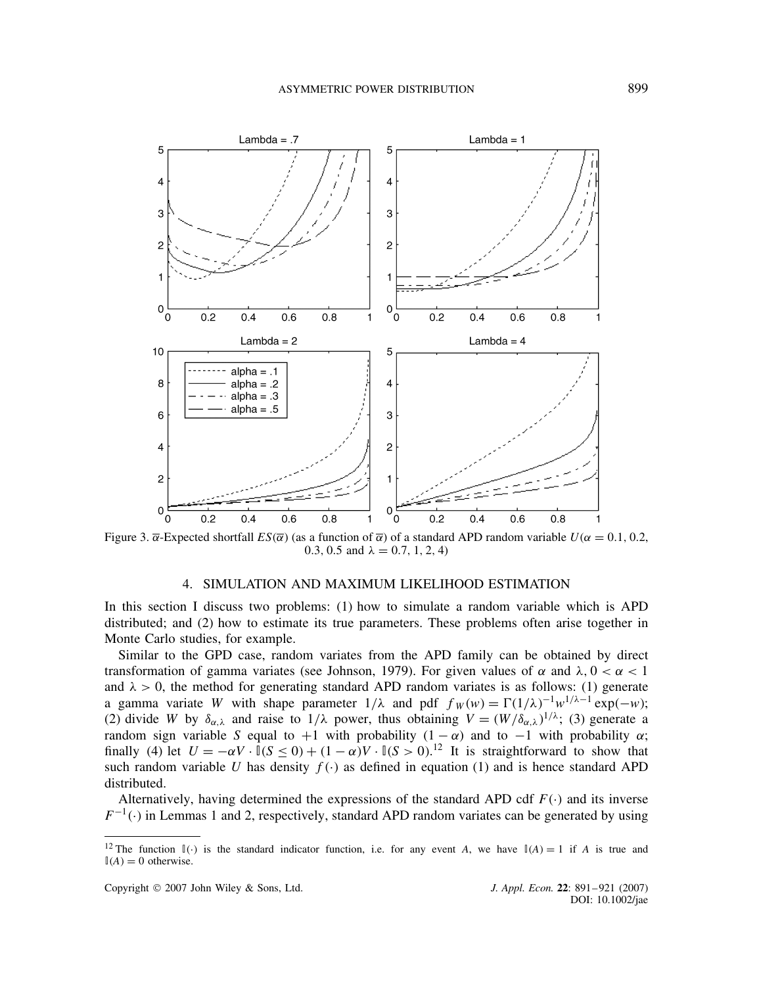

Figure 3.  $\bar{\alpha}$ -Expected shortfall  $ES(\bar{\alpha})$  (as a function of  $\bar{\alpha}$ ) of a standard APD random variable  $U(\alpha = 0.1, 0.2,$ 0.3, 0.5 and  $\lambda = 0.7, 1, 2, 4$ )

#### 4. SIMULATION AND MAXIMUM LIKELIHOOD ESTIMATION

In this section I discuss two problems: (1) how to simulate a random variable which is APD distributed; and (2) how to estimate its true parameters. These problems often arise together in Monte Carlo studies, for example.

Similar to the GPD case, random variates from the APD family can be obtained by direct transformation of gamma variates (see Johnson, 1979). For given values of  $\alpha$  and  $\lambda$ ,  $0 < \alpha < 1$ and  $\lambda > 0$ , the method for generating standard APD random variates is as follows: (1) generate a gamma variate W with shape parameter  $1/\lambda$  and pdf  $f_W(w) = \Gamma(1/\lambda)^{-1} w^{1/\lambda - 1} \exp(-w)$ ; (2) divide W by  $\delta_{\alpha,\lambda}$  and raise to  $1/\lambda$  power, thus obtaining  $V = (W/\delta_{\alpha,\lambda})^{1/\lambda}$ ; (3) generate a random sign variable S equal to  $+1$  with probability  $(1 - \alpha)$  and to  $-1$  with probability  $\alpha$ ; finally (4) let  $U = -\alpha V \cdot \mathbb{I}(S \le 0) + (1 - \alpha)V \cdot \mathbb{I}(S > 0).$ <sup>12</sup> It is straightforward to show that such random variable U has density  $f(\cdot)$  as defined in equation (1) and is hence standard APD distributed.

Alternatively, having determined the expressions of the standard APD cdf  $F(\cdot)$  and its inverse  $F^{-1}(\cdot)$  in Lemmas 1 and 2, respectively, standard APD random variates can be generated by using

<sup>&</sup>lt;sup>12</sup> The function  $\mathbb{I}(\cdot)$  is the standard indicator function, i.e. for any event A, we have  $\mathbb{I}(A) = 1$  if A is true and  $\mathbb{I}(A) = 0$  otherwise.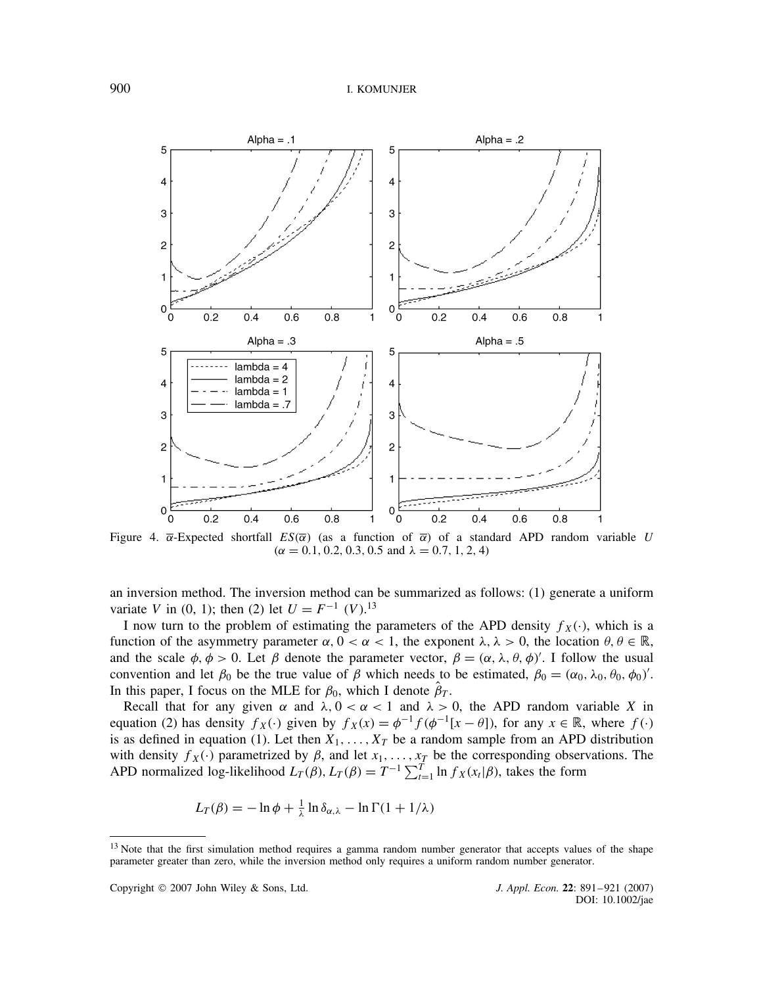

Figure 4.  $\bar{\alpha}$ -Expected shortfall  $ES(\bar{\alpha})$  (as a function of  $\bar{\alpha}$ ) of a standard APD random variable U  $(\alpha = 0.1, 0.2, 0.3, 0.5 \text{ and } \lambda = 0.7, 1, 2, 4)$ 

an inversion method. The inversion method can be summarized as follows: (1) generate a uniform variate V in (0, 1); then (2) let  $U = F^{-1}$  (V).<sup>13</sup>

I now turn to the problem of estimating the parameters of the APD density  $f_X(\cdot)$ , which is a function of the asymmetry parameter  $\alpha$ ,  $0 < \alpha < 1$ , the exponent  $\lambda$ ,  $\lambda > 0$ , the location  $\theta$ ,  $\theta \in \mathbb{R}$ , and the scale  $\phi$ ,  $\phi > 0$ . Let  $\beta$  denote the parameter vector,  $\beta = (\alpha, \lambda, \theta, \phi)'$ . I follow the usual convention and let  $\beta_0$  be the true value of  $\beta$  which needs to be estimated,  $\beta_0 = (\alpha_0, \lambda_0, \theta_0, \phi_0)'$ . In this paper, I focus on the MLE for  $\beta_0$ , which I denote  $\beta_T$ .

Recall that for any given  $\alpha$  and  $\lambda$ ,  $0 < \alpha < 1$  and  $\lambda > 0$ , the APD random variable X in equation (2) has density  $f_X(\cdot)$  given by  $f_X(x) = \phi^{-1} f(\phi^{-1}[x - \theta])$ , for any  $x \in \mathbb{R}$ , where  $f(\cdot)$ is as defined in equation (1). Let then  $X_1, \ldots, X_T$  be a random sample from an APD distribution with density  $f_X(\cdot)$  parametrized by  $\beta$ , and let  $x_1, \ldots, x_T$  be the corresponding observations. The APD normalized log-likelihood  $L_T(\beta)$ ,  $L_T(\beta) = T^{-1} \sum_{t=1}^T \ln f_X(x_t | \beta)$ , takes the form

$$
L_T(\beta) = -\ln \phi + \frac{1}{\lambda} \ln \delta_{\alpha,\lambda} - \ln \Gamma(1 + 1/\lambda)
$$

<sup>&</sup>lt;sup>13</sup> Note that the first simulation method requires a gamma random number generator that accepts values of the shape parameter greater than zero, while the inversion method only requires a uniform random number generator.

Copyright 2007 John Wiley & Sons, Ltd. *J. Appl. Econ.* **22**: 891–921 (2007)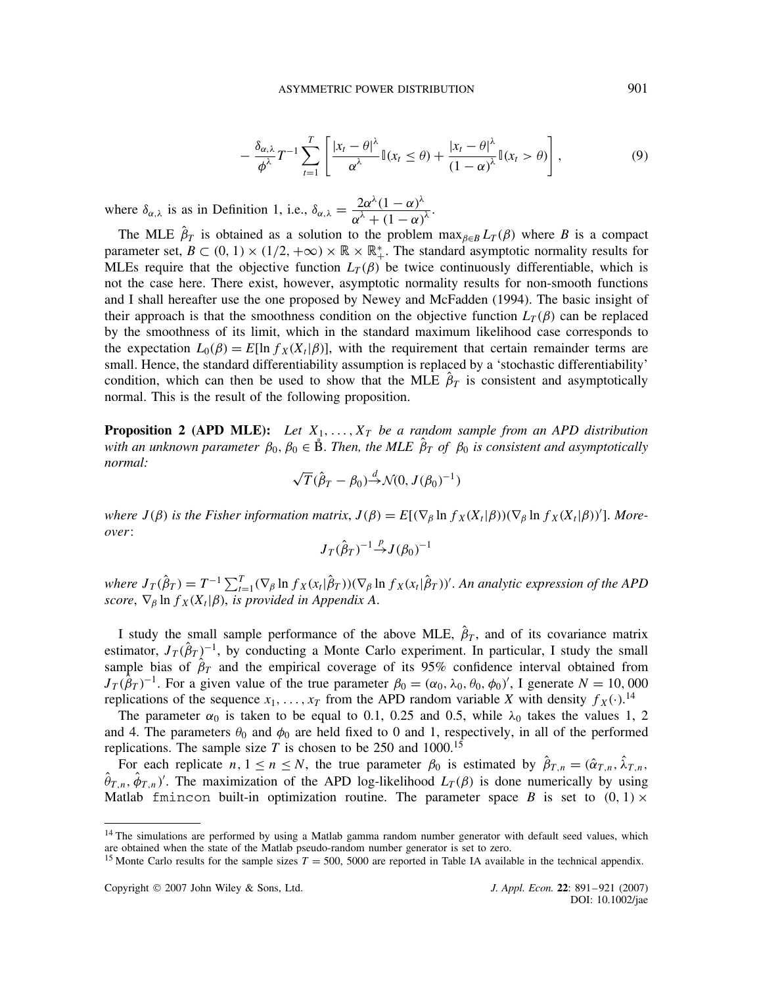$$
-\frac{\delta_{\alpha,\lambda}}{\phi^{\lambda}}T^{-1}\sum_{t=1}^{T}\left[\frac{|x_t-\theta|^{\lambda}}{\alpha^{\lambda}}\mathbb{I}(x_t\leq\theta)+\frac{|x_t-\theta|^{\lambda}}{(1-\alpha)^{\lambda}}\mathbb{I}(x_t>\theta)\right],
$$
\n(9)

where  $\delta_{\alpha,\lambda}$  is as in Definition 1, i.e.,  $\delta_{\alpha,\lambda} = \frac{2\alpha^{\lambda}(1-\alpha)^{\lambda}}{(\lambda+1)(1-\alpha)^{\lambda}}$  $\frac{2\alpha (1-\alpha)}{\alpha^{\lambda}+(1-\alpha)^{\lambda}}.$ 

The MLE  $\hat{\beta}_T$  is obtained as a solution to the problem  $\max_{\beta \in B} L_T(\beta)$  where B is a compact parameter set,  $B \subset (0, 1) \times (1/2, +\infty) \times \mathbb{R} \times \mathbb{R}^*$ . The standard asymptotic normality results for MLEs require that the objective function  $L_T(\beta)$  be twice continuously differentiable, which is not the case here. There exist, however, asymptotic normality results for non-smooth functions and I shall hereafter use the one proposed by Newey and McFadden (1994). The basic insight of their approach is that the smoothness condition on the objective function  $L_T(\beta)$  can be replaced by the smoothness of its limit, which in the standard maximum likelihood case corresponds to the expectation  $L_0(\beta) = E[\ln f_X(X_t|\beta)]$ , with the requirement that certain remainder terms are small. Hence, the standard differentiability assumption is replaced by a 'stochastic differentiability' condition, which can then be used to show that the MLE  $\beta_T$  is consistent and asymptotically normal. This is the result of the following proposition.

**Proposition 2 (APD MLE):** Let  $X_1, \ldots, X_T$  be a random sample from an APD distribution *with an unknown parameter*  $\beta_0$ ,  $\beta_0 \in \mathring{B}$ . *Then, the MLE*  $\hat{\beta}_T$  *of*  $\beta_0$  *is consistent and asymptotically normal:* p

$$
\sqrt{T}(\hat{\beta}_T - \beta_0) \stackrel{d}{\rightarrow} \mathcal{N}(0, J(\beta_0)^{-1})
$$

where  $J(\beta)$  is the Fisher information matrix,  $J(\beta) = E[(\nabla_{\beta} \ln f_X(X_t|\beta))(\nabla_{\beta} \ln f_X(X_t|\beta))']$ . More*over*:

$$
J_T(\hat{\beta}_T)^{-1} \stackrel{p}{\rightarrow} J(\beta_0)^{-1}
$$

where  $J_T(\hat{\beta}_T) = T^{-1} \sum_{t=1}^T (\nabla_\beta \ln f_X(x_t|\hat{\beta}_T))(\nabla_\beta \ln f_X(x_t|\hat{\beta}_T))'$ . An analytic expression of the APD *score*,  $\nabla_{\beta}$  ln  $f_X(X_t|\beta)$ , *is provided in Appendix A*.

I study the small sample performance of the above MLE,  $\hat{\beta}_T$ , and of its covariance matrix estimator,  $J_T(\hat{\beta}_T)^{-1}$ , by conducting a Monte Carlo experiment. In particular, I study the small sample bias of  $\hat{\beta}_T$  and the empirical coverage of its 95% confidence interval obtained from  $J_T(\hat{\beta}_T)^{-1}$ . For a given value of the true parameter  $\beta_0 = (\alpha_0, \lambda_0, \theta_0, \phi_0)'$ , I generate  $N = 10,000$ replications of the sequence  $x_1, \ldots, x_T$  from the APD random variable X with density  $f_X(\cdot)$ .<sup>14</sup>

The parameter  $\alpha_0$  is taken to be equal to 0.1, 0.25 and 0.5, while  $\lambda_0$  takes the values 1, 2 and 4. The parameters  $\theta_0$  and  $\phi_0$  are held fixed to 0 and 1, respectively, in all of the performed replications. The sample size  $T$  is chosen to be 250 and 1000.<sup>15</sup>

For each replicate  $n, 1 \le n \le N$ , the true parameter  $\beta_0$  is estimated by  $\hat{\beta}_{T,n} = (\hat{\alpha}_{T,n}, \hat{\lambda}_{T,n}, \hat{\beta}_{T,n}, \hat{\beta}_{T,n})'$ . The maximization of the APD log-likelihood  $L_{\tau}(\beta)$  is done numerically by using  $\hat{\theta}_{T,n}, \hat{\phi}_{T,n}$ )'. The maximization of the APD log-likelihood  $L_T(\beta)$  is done numerically by using Matlab finincon built-in optimization routine. The parameter space B is set to  $(0, 1) \times$ 

<sup>&</sup>lt;sup>14</sup> The simulations are performed by using a Matlab gamma random number generator with default seed values, which are obtained when the state of the Matlab pseudo-random number generator is set to zero.

<sup>&</sup>lt;sup>15</sup> Monte Carlo results for the sample sizes  $T = 500$ , 5000 are reported in Table IA available in the technical appendix.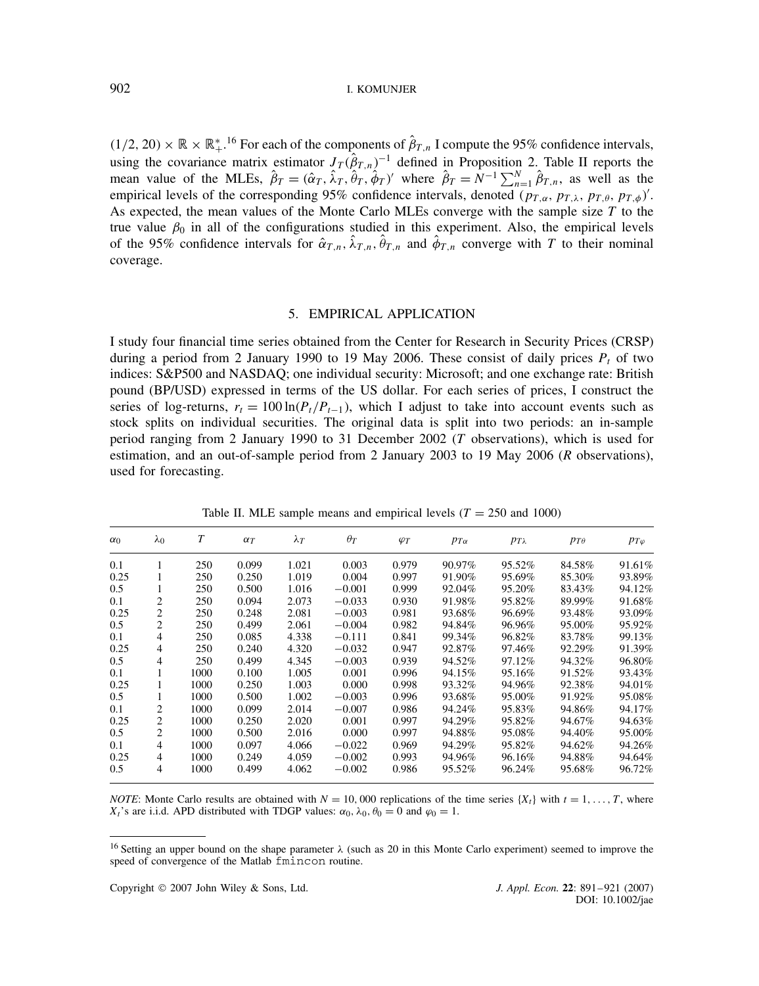$(1/2, 20) \times \mathbb{R} \times \mathbb{R}^*$ <sup>16</sup> For each of the components of  $\hat{\beta}_{T,n}$  I compute the 95% confidence intervals, using the covariance matrix estimator  $J_T(\hat{\beta}_{T,n})^{-1}$  defined in Proposition 2. Table II reports the mean value of the MLEs,  $\hat{\beta}_T = (\hat{\alpha}_T, \hat{\lambda}_T, \hat{\theta}_T, \hat{\phi}_T)'$  where  $\hat{\beta}_T = N^{-1} \sum_{n=1}^N \hat{\beta}_{T,n}$ , as well as the empirical levels of the corresponding 95% confidence intervals, denoted  $(p_{T,\alpha}, p_{T,\lambda}, p_{T,\theta}, p_{T,\phi})'$ . As expected, the mean values of the Monte Carlo MLEs converge with the sample size T to the true value  $\beta_0$  in all of the configurations studied in this experiment. Also, the empirical levels of the 95% confidence intervals for  $\hat{\alpha}_{T,n}$ ,  $\hat{\lambda}_{T,n}$ ,  $\hat{\theta}_{T,n}$  and  $\hat{\phi}_{T,n}$  converge with T to their nominal coverage.

## 5. EMPIRICAL APPLICATION

I study four financial time series obtained from the Center for Research in Security Prices (CRSP) during a period from 2 January 1990 to 19 May 2006. These consist of daily prices  $P_t$  of two indices: S&P500 and NASDAQ; one individual security: Microsoft; and one exchange rate: British pound (BP/USD) expressed in terms of the US dollar. For each series of prices, I construct the series of log-returns,  $r_t = 100 \ln(P_t/P_{t-1})$ , which I adjust to take into account events such as stock splits on individual securities. The original data is split into two periods: an in-sample period ranging from 2 January 1990 to 31 December 2002 (T observations), which is used for estimation, and an out-of-sample period from 2 January 2003 to 19 May 2006 (R observations), used for forecasting.

| $\alpha_0$ | $\lambda_0$    | T    | $\alpha_T$ | $\lambda_T$ | $\theta_T$ | $\varphi_T$ | $p_{T\alpha}$ | $p_{T\lambda}$ | $PT\theta$ | $p_{T\varphi}$ |
|------------|----------------|------|------------|-------------|------------|-------------|---------------|----------------|------------|----------------|
| 0.1        |                | 250  | 0.099      | 1.021       | 0.003      | 0.979       | $90.97\%$     | 95.52%         | 84.58%     | 91.61%         |
| 0.25       |                | 250  | 0.250      | 1.019       | 0.004      | 0.997       | 91.90%        | 95.69%         | 85.30%     | 93.89%         |
| 0.5        |                | 250  | 0.500      | 1.016       | $-0.001$   | 0.999       | 92.04%        | 95.20%         | 83.43%     | 94.12%         |
| 0.1        | 2              | 250  | 0.094      | 2.073       | $-0.033$   | 0.930       | 91.98%        | 95.82%         | 89.99%     | 91.68%         |
| 0.25       | 2              | 250  | 0.248      | 2.081       | $-0.003$   | 0.981       | 93.68%        | 96.69%         | 93.48%     | 93.09%         |
| 0.5        | 2              | 250  | 0.499      | 2.061       | $-0.004$   | 0.982       | 94.84%        | 96.96%         | 95.00%     | 95.92%         |
| 0.1        | 4              | 250  | 0.085      | 4.338       | $-0.111$   | 0.841       | 99.34%        | 96.82%         | 83.78%     | 99.13%         |
| 0.25       | 4              | 250  | 0.240      | 4.320       | $-0.032$   | 0.947       | 92.87%        | 97.46%         | 92.29%     | 91.39%         |
| 0.5        | 4              | 250  | 0.499      | 4.345       | $-0.003$   | 0.939       | 94.52%        | 97.12%         | 94.32%     | 96.80%         |
| 0.1        |                | 1000 | 0.100      | 1.005       | 0.001      | 0.996       | 94.15%        | 95.16%         | 91.52%     | 93.43%         |
| 0.25       |                | 1000 | 0.250      | 1.003       | 0.000      | 0.998       | 93.32%        | 94.96%         | 92.38%     | 94.01%         |
| 0.5        |                | 1000 | 0.500      | 1.002       | $-0.003$   | 0.996       | 93.68%        | 95.00%         | 91.92%     | 95.08%         |
| 0.1        | 2              | 1000 | 0.099      | 2.014       | $-0.007$   | 0.986       | 94.24%        | 95.83%         | 94.86%     | 94.17%         |
| 0.25       | $\overline{c}$ | 1000 | 0.250      | 2.020       | 0.001      | 0.997       | 94.29%        | 95.82%         | 94.67%     | 94.63%         |
| 0.5        | 2              | 1000 | 0.500      | 2.016       | 0.000      | 0.997       | 94.88%        | 95.08%         | 94.40%     | 95.00%         |
| 0.1        | 4              | 1000 | 0.097      | 4.066       | $-0.022$   | 0.969       | 94.29%        | 95.82%         | 94.62%     | 94.26%         |
| 0.25       | 4              | 1000 | 0.249      | 4.059       | $-0.002$   | 0.993       | 94.96%        | 96.16%         | 94.88%     | 94.64%         |
| 0.5        | 4              | 1000 | 0.499      | 4.062       | $-0.002$   | 0.986       | 95.52%        | 96.24%         | 95.68%     | 96.72%         |

Table II. MLE sample means and empirical levels ( $T = 250$  and 1000)

*NOTE*: Monte Carlo results are obtained with  $N = 10,000$  replications of the time series  $\{X_t\}$  with  $t = 1, \ldots, T$ , where  $X_t$ 's are i.i.d. APD distributed with TDGP values:  $\alpha_0$ ,  $\lambda_0$ ,  $\theta_0 = 0$  and  $\varphi_0 = 1$ .

<sup>&</sup>lt;sup>16</sup> Setting an upper bound on the shape parameter  $\lambda$  (such as 20 in this Monte Carlo experiment) seemed to improve the speed of convergence of the Matlab fmincon routine.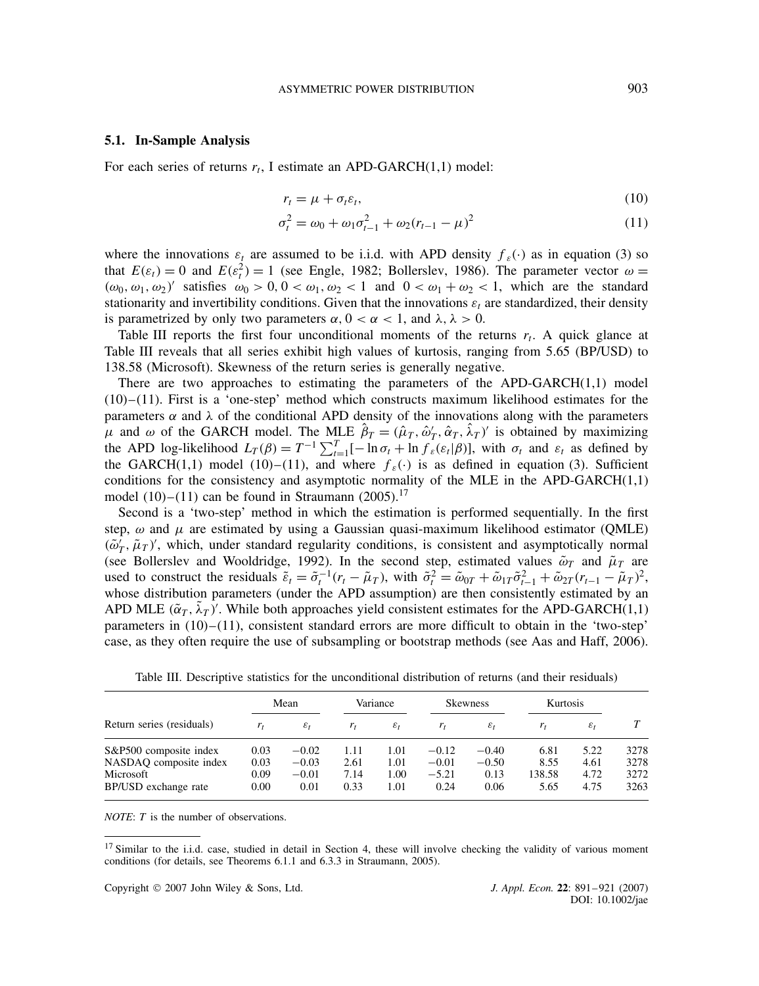#### **5.1. In-Sample Analysis**

For each series of returns  $r_t$ , I estimate an APD-GARCH $(1,1)$  model:

$$
r_t = \mu + \sigma_t \varepsilon_t,\tag{10}
$$

$$
\sigma_t^2 = \omega_0 + \omega_1 \sigma_{t-1}^2 + \omega_2 (r_{t-1} - \mu)^2
$$
\n(11)

where the innovations  $\varepsilon_t$  are assumed to be i.i.d. with APD density  $f_{\varepsilon}(\cdot)$  as in equation (3) so that  $E(\varepsilon_t) = 0$  and  $E(\varepsilon_t^2) = 1$  (see Engle, 1982; Bollerslev, 1986). The parameter vector  $\omega =$  $(\omega_0, \omega_1, \omega_2)'$  satisfies  $\omega_0 > 0, 0 < \omega_1, \omega_2 < 1$  and  $0 < \omega_1 + \omega_2 < 1$ , which are the standard stationarity and invertibility conditions. Given that the innovations  $\varepsilon_t$  are standardized, their density is parametrized by only two parameters  $\alpha$ ,  $0 < \alpha < 1$ , and  $\lambda$ ,  $\lambda > 0$ .

Table III reports the first four unconditional moments of the returns  $r_t$ . A quick glance at Table III reveals that all series exhibit high values of kurtosis, ranging from 5.65 (BP/USD) to 138.58 (Microsoft). Skewness of the return series is generally negative.

There are two approaches to estimating the parameters of the APD-GARCH $(1,1)$  model  $(10)$ – $(11)$ . First is a 'one-step' method which constructs maximum likelihood estimates for the parameters  $\alpha$  and  $\lambda$  of the conditional APD density of the innovations along with the parameters  $\mu$  and  $\omega$  of the GARCH model. The MLE  $\hat{\beta}_T = (\hat{\mu}_T, \hat{\omega}'_T, \hat{\alpha}_T, \hat{\lambda}_T)'$  is obtained by maximizing the APD log-likelihood  $L_T(\beta) = T^{-1} \sum_{t=1}^T [-\ln \sigma_t + \ln \hat{f}_{\varepsilon}(\varepsilon_t|\beta)]$ , with  $\sigma_t$  and  $\varepsilon_t$  as defined by the GARCH(1,1) model (10)–(11), and where  $f_{\varepsilon}(\cdot)$  is as defined in equation (3). Sufficient conditions for the consistency and asymptotic normality of the MLE in the APD-GARCH $(1,1)$ model  $(10)$ – $(11)$  can be found in Straumann  $(2005)$ .<sup>17</sup>

Second is a 'two-step' method in which the estimation is performed sequentially. In the first step,  $\omega$  and  $\mu$  are estimated by using a Gaussian quasi-maximum likelihood estimator (QMLE)  $(\tilde{\omega}'_T, \tilde{\mu}_T)'$ , which, under standard regularity conditions, is consistent and asymptotically normal (see Bollerslev and Wooldridge, 1992). In the second step, estimated values  $\tilde{\omega}_T$  and  $\tilde{\mu}_T$  are used to construct the residuals  $\tilde{\varepsilon}_t = \tilde{\sigma}_t^{-1}(r_t - \tilde{\mu}_T)$ , with  $\tilde{\sigma}_t^2 = \tilde{\omega}_{0T} + \tilde{\omega}_{1T}\tilde{\sigma}_{t-1}^2 + \tilde{\omega}_{2T}(r_{t-1} - \tilde{\mu}_T)^2$ , whose distribution parameters (under the APD assumption) are then consistently estimated by an APD MLE  $(\tilde{\alpha}_T, \tilde{\lambda}_T)'$ . While both approaches yield consistent estimates for the APD-GARCH(1,1) parameters in  $(10)$ – $(11)$ , consistent standard errors are more difficult to obtain in the 'two-step' case, as they often require the use of subsampling or bootstrap methods (see Aas and Haff, 2006).

|                           | Mean  |                 | Variance |                 | <b>Skewness</b> |                 | Kurtosis |                 |      |  |
|---------------------------|-------|-----------------|----------|-----------------|-----------------|-----------------|----------|-----------------|------|--|
| Return series (residuals) | $r_t$ | $\varepsilon_t$ | $r_t$    | $\varepsilon_t$ | $r_t$           | $\varepsilon_t$ | $r_t$    | $\varepsilon_t$ |      |  |
| S&P500 composite index    | 0.03  | $-0.02$         | 1.11     | 1.01            | $-0.12$         | $-0.40$         | 6.81     | 5.22            | 3278 |  |
| NASDAQ composite index    | 0.03  | $-0.03$         | 2.61     | 1.01            | $-0.01$         | $-0.50$         | 8.55     | 4.61            | 3278 |  |
| Microsoft                 | 0.09  | $-0.01$         | 7.14     | 1.00            | $-5.21$         | 0.13            | 138.58   | 4.72            | 3272 |  |
| BP/USD exchange rate      | 0.00  | 0.01            | 0.33     | 1.01            | 0.24            | 0.06            | 5.65     | 4.75            | 3263 |  |

Table III. Descriptive statistics for the unconditional distribution of returns (and their residuals)

*NOTE*: *T* is the number of observations.

 $17$  Similar to the i.i.d. case, studied in detail in Section 4, these will involve checking the validity of various moment conditions (for details, see Theorems 6.1.1 and 6.3.3 in Straumann, 2005).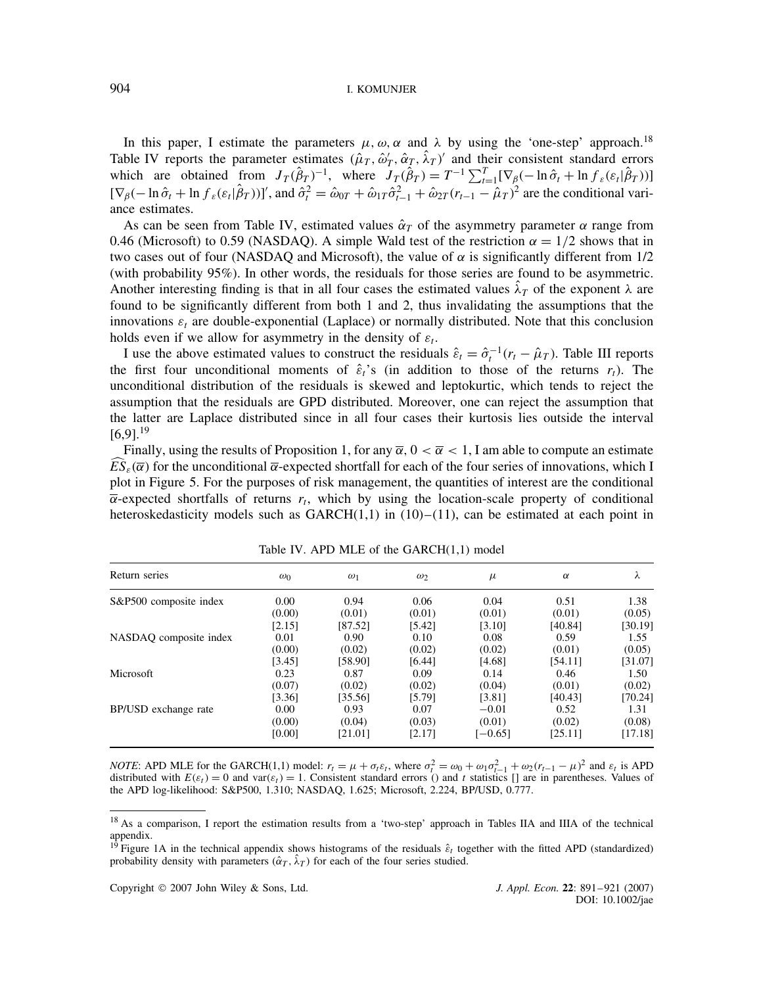In this paper, I estimate the parameters  $\mu$ ,  $\omega$ ,  $\alpha$  and  $\lambda$  by using the 'one-step' approach.<sup>18</sup> Table IV reports the parameter estimates  $(\hat{\mu}_T, \hat{\omega}_T, \hat{\alpha}_T, \hat{\lambda}_T)$  and their consistent standard errors which are obtained from  $J_T(\hat{\beta}_T)^{-1}$ , where  $J_T(\hat{\beta}_T) = T^{-1} \sum_{t=1}^T [\nabla_\beta(-\ln \hat{\sigma}_t + \ln f_\varepsilon(\varepsilon_t | \hat{\beta}_T))]$  $[\nabla_{\beta}(-\ln \hat{\sigma}_t + \ln f_s(\varepsilon_t|\hat{\beta}_T))]'$ , and  $\hat{\sigma}_t^2 = \hat{\omega}_{0T} + \hat{\omega}_{1T}\hat{\sigma}_{t-1}^2 + \hat{\omega}_{2T}(r_{t-1} - \hat{\mu}_T)^2$  are the conditional variance estimates.

As can be seen from Table IV, estimated values  $\hat{\alpha}_T$  of the asymmetry parameter  $\alpha$  range from 0.46 (Microsoft) to 0.59 (NASDAQ). A simple Wald test of the restriction  $\alpha = 1/2$  shows that in two cases out of four (NASDAQ and Microsoft), the value of  $\alpha$  is significantly different from 1/2 (with probability 95%). In other words, the residuals for those series are found to be asymmetric. Another interesting finding is that in all four cases the estimated values  $\lambda_T$  of the exponent  $\lambda$  are found to be significantly different from both 1 and 2, thus invalidating the assumptions that the innovations  $\varepsilon_t$  are double-exponential (Laplace) or normally distributed. Note that this conclusion holds even if we allow for asymmetry in the density of  $\varepsilon_t$ .

I use the above estimated values to construct the residuals  $\hat{\varepsilon}_t = \hat{\sigma}_t^{-1}(r_t - \hat{\mu}_T)$ . Table III reports the first four unconditional moments of  $\hat{\epsilon}_t$ 's (in addition to those of the returns  $r_t$ ). The unconditional distribution of the residuals is skewed and leptokurtic, which tends to reject the assumption that the residuals are GPD distributed. Moreover, one can reject the assumption that the latter are Laplace distributed since in all four cases their kurtosis lies outside the interval  $[6,9]$ <sup>19</sup>

Finally, using the results of Proposition 1, for any  $\overline{\alpha}$ ,  $0 < \overline{\alpha} < 1$ , I am able to compute an estimate  $ES_{\varepsilon}(\overline{\alpha})$  for the unconditional  $\overline{\alpha}$ -expected shortfall for each of the four series of innovations, which I plot in Figure 5. For the purposes of risk management, the quantities of interest are the conditional  $\overline{\alpha}$ -expected shortfalls of returns  $r_t$ , which by using the location-scale property of conditional heteroskedasticity models such as  $GARCH(1,1)$  in  $(10)–(11)$ , can be estimated at each point in

| Return series          | $\omega_0$ | $\omega_1$ | $\omega_2$ | $\mu$     | $\alpha$ | λ       |
|------------------------|------------|------------|------------|-----------|----------|---------|
| S&P500 composite index | 0.00       | 0.94       | 0.06       | 0.04      | 0.51     | 1.38    |
|                        | (0.00)     | (0.01)     | (0.01)     | (0.01)    | (0.01)   | (0.05)  |
|                        | [2.15]     | [87.52]    | [5.42]     | [3.10]    | [40.84]  | [30.19] |
| NASDAQ composite index | 0.01       | 0.90       | 0.10       | 0.08      | 0.59     | 1.55    |
|                        | (0.00)     | (0.02)     | (0.02)     | (0.02)    | (0.01)   | (0.05)  |
|                        | [3.45]     | [58.90]    | [6.44]     | [4.68]    | [54.11]  | [31.07] |
| Microsoft              | 0.23       | 0.87       | 0.09       | 0.14      | 0.46     | 1.50    |
|                        | (0.07)     | (0.02)     | (0.02)     | (0.04)    | (0.01)   | (0.02)  |
|                        | [3.36]     | [35.56]    | [5.79]     | [3.81]    | [40.43]  | [70.24] |
| BP/USD exchange rate   | 0.00       | 0.93       | 0.07       | $-0.01$   | 0.52     | 1.31    |
|                        | (0.00)     | (0.04)     | (0.03)     | (0.01)    | (0.02)   | (0.08)  |
|                        | [0.00]     | [21.01]    | [2.17]     | $[-0.65]$ | [25.11]  | [17.18] |

Table IV. APD MLE of the GARCH(1,1) model

*NOTE*: APD MLE for the GARCH(1,1) model:  $r_t = \mu + \sigma_t \varepsilon_t$ , where  $\sigma_t^2 = \omega_0 + \omega_1 \sigma_{t-1}^2 + \omega_2 (r_{t-1} - \mu)^2$  and  $\varepsilon_t$  is APD distributed with  $E(\varepsilon_t) = 0$  and var $(\varepsilon_t) = 1$ . Consistent standard errors () and t statistics [] are in parentheses. Values of the APD log-likelihood: S&P500, 1.310; NASDAQ, 1.625; Microsoft, 2.224, BP/USD, 0.777.

<sup>18</sup> As a comparison, I report the estimation results from a 'two-step' approach in Tables IIA and IIIA of the technical appendix.

<sup>&</sup>lt;sup>19</sup> Figure 1A in the technical appendix shows histograms of the residuals  $\hat{\epsilon}_t$  together with the fitted APD (standardized) probability density with parameters  $(\hat{\alpha}_T, \hat{\lambda}_T)$  for each of the four series studied.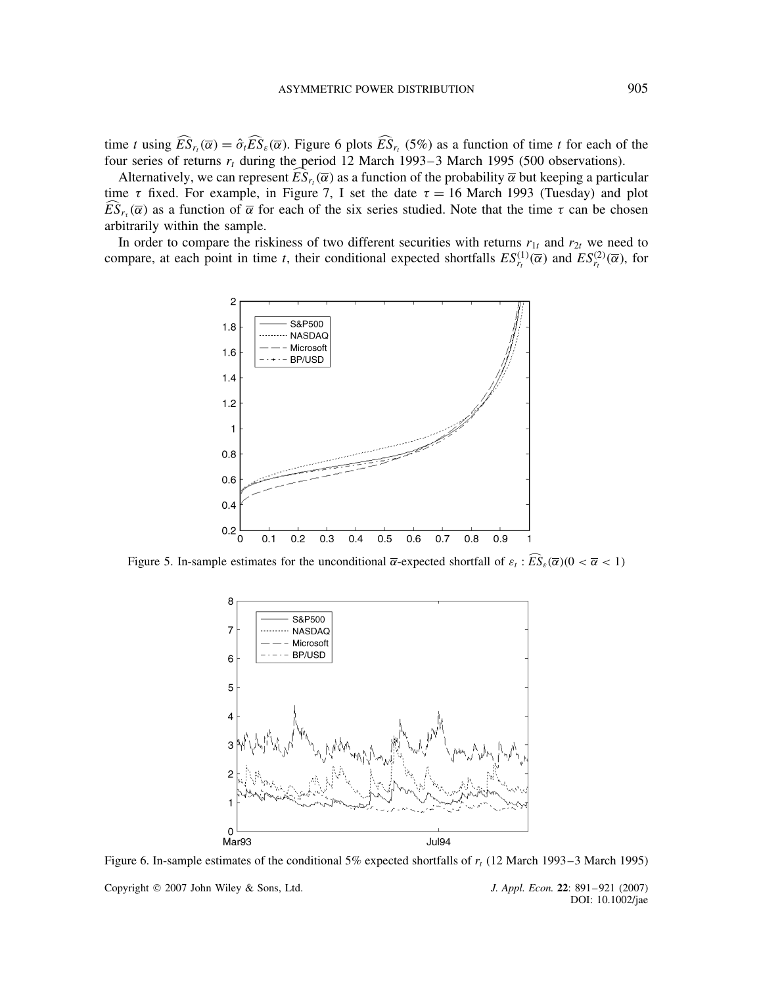time t using  $ES_{r_t}(\overline{\alpha}) = \hat{\sigma}_t ES_{\varepsilon}(\overline{\alpha})$ . Figure 6 plots  $ES_{r_t} (5\%)$  as a function of time t for each of the four series of returns  $r_t$  during the period 12 March 1993–3 March 1995 (500 observations).

Alternatively, we can represent  $ES_{r_t}(\overline{\alpha})$  as a function of the probability  $\overline{\alpha}$  but keeping a particular time  $\tau$  fixed. For example, in Figure 7, I set the date  $\tau = 16$  March 1993 (Tuesday) and plot  $ES_{r_{\tau}}(\overline{\alpha})$  as a function of  $\overline{\alpha}$  for each of the six series studied. Note that the time  $\tau$  can be chosen arbitrarily within the sample.

In order to compare the riskiness of two different securities with returns  $r_{1t}$  and  $r_{2t}$  we need to compare, at each point in time t, their conditional expected shortfalls  $ES_{r_t}^{(1)}(\overline{\alpha})$  and  $ES_{r_t}^{(2)}(\overline{\alpha})$ , for



Figure 5. In-sample estimates for the unconditional  $\overline{\alpha}$ -expected shortfall of  $\varepsilon_t$ :  $ES_{\varepsilon}(\overline{\alpha})(0 < \overline{\alpha} < 1)$ 



Figure 6. In-sample estimates of the conditional 5% expected shortfalls of  $r_t$  (12 March 1993–3 March 1995)

Copyright 2007 John Wiley & Sons, Ltd. *J. Appl. Econ.* **22**: 891–921 (2007)

DOI: 10.1002/jae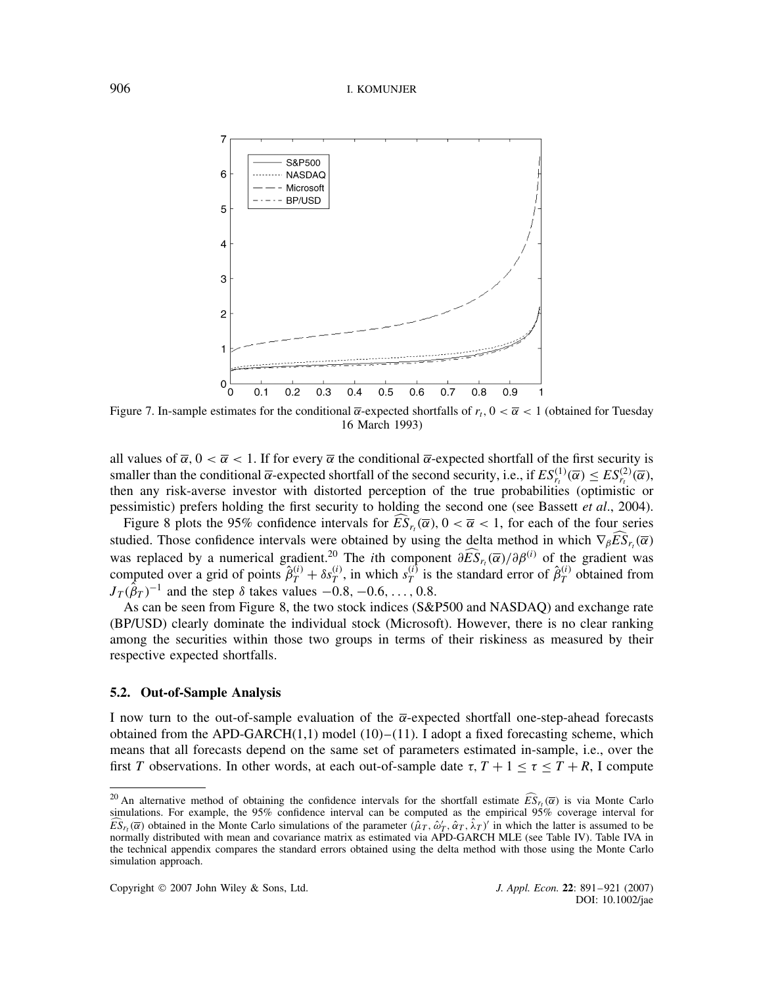

Figure 7. In-sample estimates for the conditional  $\bar{\alpha}$ -expected shortfalls of  $r_t$ ,  $0 < \bar{\alpha} < 1$  (obtained for Tuesday 16 March 1993)

all values of  $\overline{\alpha}$ ,  $0 < \overline{\alpha} < 1$ . If for every  $\overline{\alpha}$  the conditional  $\overline{\alpha}$ -expected shortfall of the first security is smaller than the conditional  $\bar{\alpha}$ -expected shortfall of the second security, i.e., if  $ES_{r_t}^{(1)}(\bar{\alpha}) \leq ES_{r_t}^{(2)}(\bar{\alpha})$ , then any risk-averse investor with distorted perception of the true probabilities (optimistic or pessimistic) prefers holding the first security to holding the second one (see Bassett *et al*., 2004).

Figure 8 plots the 95% confidence intervals for  $ES_{r_t}(\overline{\alpha})$ ,  $0 < \overline{\alpha} < 1$ , for each of the four series studied. Those confidence intervals were obtained by using the delta method in which  $\nabla_{\beta} ES_{r_t}(\overline{\alpha})$ was replaced by a numerical gradient.<sup>20</sup> The *i*th component  $\partial \tilde{E} \tilde{S}_{r_t}(\overline{\alpha})/\partial \beta^{(i)}$  of the gradient was computed over a grid of points  $\hat{\beta}_T^{(i)} + \delta s_T^{(i)}$ , in which  $s_T^{(i)}$  is the standard error of  $\hat{\beta}_T^{(i)}$  obtained from  $J_T(\hat{\beta}_T)^{-1}$  and the step  $\delta$  takes values  $-0.8, -0.6, \ldots, 0.8$ .

As can be seen from Figure 8, the two stock indices (S&P500 and NASDAQ) and exchange rate (BP/USD) clearly dominate the individual stock (Microsoft). However, there is no clear ranking among the securities within those two groups in terms of their riskiness as measured by their respective expected shortfalls.

# **5.2. Out-of-Sample Analysis**

I now turn to the out-of-sample evaluation of the  $\overline{\alpha}$ -expected shortfall one-step-ahead forecasts obtained from the APD-GARCH $(1,1)$  model  $(10)$ – $(11)$ . I adopt a fixed forecasting scheme, which means that all forecasts depend on the same set of parameters estimated in-sample, i.e., over the first T observations. In other words, at each out-of-sample date  $\tau$ ,  $T + 1 \le \tau \le T + R$ , I compute

<sup>&</sup>lt;sup>20</sup> An alternative method of obtaining the confidence intervals for the shortfall estimate  $\widehat{ES}_{r_t}(\overline{\alpha})$  is via Monte Carlo simulations. For example, the 95% confidence interval can be computed as the empirical 95% coverage interval for  $\widehat{ES}_{r_t}(\overline{\alpha})$  obtained in the Monte Carlo simulations of the parameter  $(\hat{\mu}_T, \hat{\omega}_T, \hat{\alpha}_T, \hat{\lambda}_T)'$  in which the latter is assumed to be normally distributed with mean and covariance matrix as estimated via APD-GARCH MLE (see Table IV). Table IVA in the technical appendix compares the standard errors obtained using the delta method with those using the Monte Carlo simulation approach.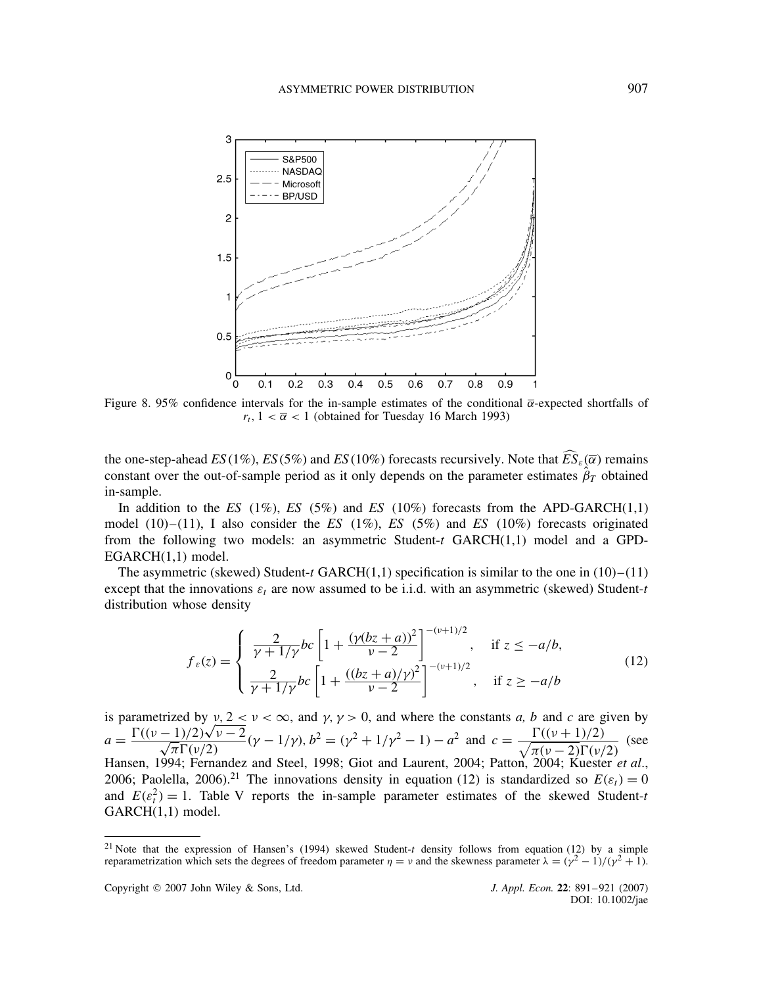

Figure 8. 95% confidence intervals for the in-sample estimates of the conditional  $\bar{\alpha}$ -expected shortfalls of  $r_t$ ,  $1 < \overline{\alpha} < 1$  (obtained for Tuesday 16 March 1993)

the one-step-ahead  $ES(1\%)$ ,  $ES(5\%)$  and  $ES(10\%)$  forecasts recursively. Note that  $ES_{\varepsilon}(\overline{\alpha})$  remains constant over the out-of-sample period as it only depends on the parameter estimates  $\hat{\beta}_T$  obtained in-sample.

In addition to the *ES* (1%), *ES* (5%) and *ES* (10%) forecasts from the APD-GARCH(1,1) model (10)–(11), I also consider the *ES* (1%), *ES* (5%) and *ES* (10%) forecasts originated from the following two models: an asymmetric Student-t GARCH(1,1) model and a GPD-EGARCH(1,1) model.

The asymmetric (skewed) Student-t GARCH $(1,1)$  specification is similar to the one in  $(10)$ – $(11)$ except that the innovations  $\varepsilon_t$  are now assumed to be i.i.d. with an asymmetric (skewed) Student-t distribution whose density

$$
f_{\varepsilon}(z) = \begin{cases} \frac{2}{\gamma + 1/\gamma} bc \left[ 1 + \frac{(\gamma(bz + a))^2}{\nu - 2} \right]^{-(\nu + 1)/2}, & \text{if } z \le -a/b, \\ \frac{2}{\gamma + 1/\gamma} bc \left[ 1 + \frac{((bz + a)/\gamma)^2}{\nu - 2} \right]^{-(\nu + 1)/2}, & \text{if } z \ge -a/b \end{cases}
$$
(12)

is parametrized by  $v, 2 < v < \infty$ , and  $\gamma, \gamma > 0$ , and where the constants *a*, *b* and *c* are given by  $a = \frac{\Gamma((\nu-1)/2)}{\sqrt{\Gamma(1-\nu)}}$ y 1  $\frac{(-1)}{2}$ <br> $\sqrt{v-2}$  $\frac{1}{2\pi} \Gamma(\nu/2) - 2(\nu - 1/\nu), b^2 = (\nu^2 + 1/\nu^2 - 1) - a^2 \text{ and } c = \frac{\Gamma((\nu + 1)/2)}{\sqrt{\pi(\nu - 2)}\Gamma(\nu/2)}$  $\frac{\Gamma(\nu+1)/2}{\pi(\nu-2)\Gamma(\nu/2)}$  (see Hansen, 1994; Fernandez and Steel, 1998; Giot and Laurent, 2004; Patton, 2004; Kuester *et al*., 2006; Paolella, 2006).<sup>21</sup> The innovations density in equation (12) is standardized so  $E(\varepsilon_t) = 0$ and  $E(\varepsilon_t^2) = 1$ . Table V reports the in-sample parameter estimates of the skewed Student-t GARCH(1,1) model.

<sup>&</sup>lt;sup>21</sup> Note that the expression of Hansen's (1994) skewed Student-t density follows from equation (12) by a simple reparametrization which sets the degrees of freedom parameter  $\eta = \nu$  and the skewness parameter  $\lambda = (\gamma^2 - 1)/(\gamma^2 + 1)$ .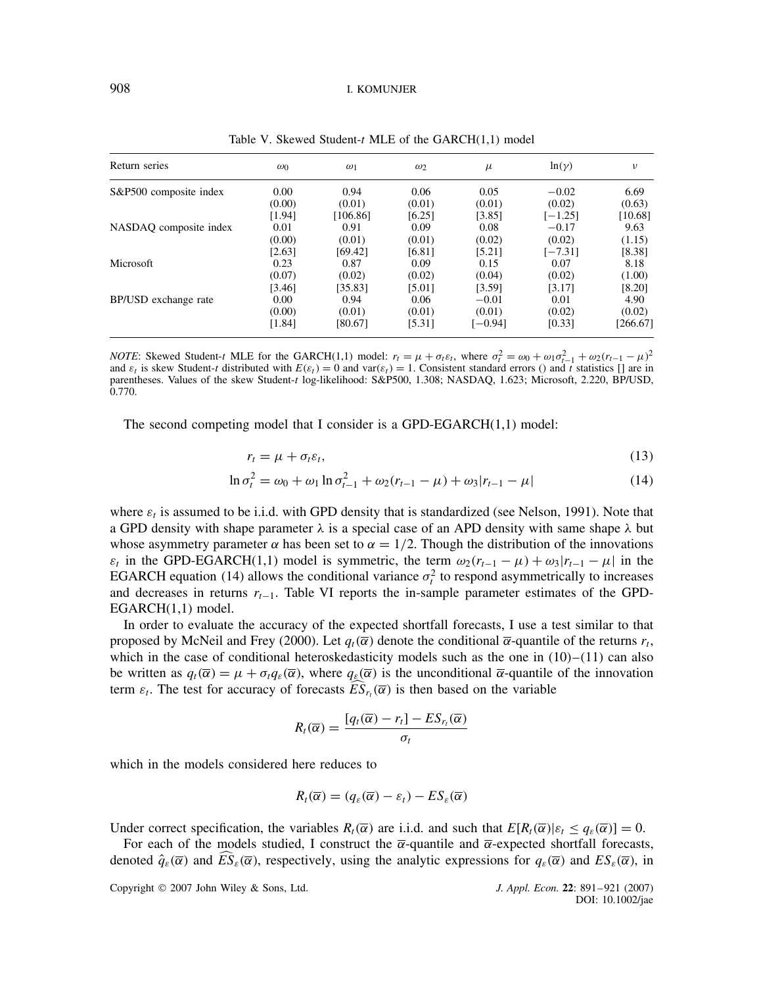| Return series          | $\omega_0$ | $\omega_1$ | $\omega_2$ | $\mu$     | $ln(\gamma)$ | v        |
|------------------------|------------|------------|------------|-----------|--------------|----------|
| S&P500 composite index | 0.00       | 0.94       | 0.06       | 0.05      | $-0.02$      | 6.69     |
|                        | (0.00)     | (0.01)     | (0.01)     | (0.01)    | (0.02)       | (0.63)   |
|                        | [1.94]     | [106.86]   | [6.25]     | [3.85]    | $[-1.25]$    | [10.68]  |
| NASDAQ composite index | 0.01       | 0.91       | 0.09       | 0.08      | $-0.17$      | 9.63     |
|                        | (0.00)     | (0.01)     | (0.01)     | (0.02)    | (0.02)       | (1.15)   |
|                        | [2.63]     | [69.42]    | [6.81]     | [5.21]    | $[-7.31]$    | [8.38]   |
| Microsoft              | 0.23       | 0.87       | 0.09       | 0.15      | 0.07         | 8.18     |
|                        | (0.07)     | (0.02)     | (0.02)     | (0.04)    | (0.02)       | (1.00)   |
|                        | [3.46]     | [35.83]    | [5.01]     | [3.59]    | [3.17]       | $[8.20]$ |
| BP/USD exchange rate   | 0.00       | 0.94       | 0.06       | $-0.01$   | 0.01         | 4.90     |
|                        | (0.00)     | (0.01)     | (0.01)     | (0.01)    | (0.02)       | (0.02)   |
|                        | [1.84]     | [80.67]    | [5.31]     | $[-0.94]$ | [0.33]       | [266.67] |

Table V. Skewed Student-t MLE of the GARCH(1,1) model

*NOTE*: Skewed Student-t MLE for the GARCH(1,1) model:  $r_t = \mu + \sigma_t \varepsilon_t$ , where  $\sigma_t^2 = \omega_0 + \omega_1 \sigma_{t-1}^2 + \omega_2 (r_{t-1} - \mu)^2$ and  $\varepsilon_t$  is skew Student-t distributed with  $E(\varepsilon_t) = 0$  and var $(\varepsilon_t) = 1$ . Consistent standard errors () and t statistics [] are in parentheses. Values of the skew Student-t log-likelihood: S&P500, 1.308; NASDAQ, 1.623; Microsoft, 2.220, BP/USD, 0.770.

The second competing model that I consider is a GPD-EGARCH(1,1) model:

$$
r_t = \mu + \sigma_t \varepsilon_t,\tag{13}
$$

$$
\ln \sigma_t^2 = \omega_0 + \omega_1 \ln \sigma_{t-1}^2 + \omega_2 (r_{t-1} - \mu) + \omega_3 |r_{t-1} - \mu| \tag{14}
$$

where  $\varepsilon_t$  is assumed to be i.i.d. with GPD density that is standardized (see Nelson, 1991). Note that a GPD density with shape parameter  $\lambda$  is a special case of an APD density with same shape  $\lambda$  but whose asymmetry parameter  $\alpha$  has been set to  $\alpha = 1/2$ . Though the distribution of the innovations  $\varepsilon_t$  in the GPD-EGARCH(1,1) model is symmetric, the term  $\omega_2(r_{t-1} - \mu) + \omega_3 |r_{t-1} - \mu|$  in the EGARCH equation (14) allows the conditional variance  $\sigma_t^2$  to respond asymmetrically to increases and decreases in returns  $r_{t-1}$ . Table VI reports the in-sample parameter estimates of the GPD-EGARCH(1,1) model.

In order to evaluate the accuracy of the expected shortfall forecasts, I use a test similar to that proposed by McNeil and Frey (2000). Let  $q_t(\overline{\alpha})$  denote the conditional  $\overline{\alpha}$ -quantile of the returns  $r_t$ , which in the case of conditional heteroskedasticity models such as the one in  $(10)$ – $(11)$  can also be written as  $q_t(\overline{\alpha}) = \mu + \sigma_t q_{\varepsilon}(\overline{\alpha})$ , where  $q_{\varepsilon}(\overline{\alpha})$  is the unconditional  $\overline{\alpha}$ -quantile of the innovation term  $\varepsilon_t$ . The test for accuracy of forecasts  $ES_{r_t}(\overline{\alpha})$  is then based on the variable

$$
R_t(\overline{\alpha}) = \frac{[q_t(\overline{\alpha}) - r_t] - ES_{r_t}(\overline{\alpha})}{\sigma_t}
$$

which in the models considered here reduces to

$$
R_t(\overline{\alpha}) = (q_{\varepsilon}(\overline{\alpha}) - \varepsilon_t) - ES_{\varepsilon}(\overline{\alpha})
$$

Under correct specification, the variables  $R_t(\overline{\alpha})$  are i.i.d. and such that  $E[R_t(\overline{\alpha})|\varepsilon_t \leq q_{\varepsilon}(\overline{\alpha})] = 0$ .

For each of the models studied, I construct the  $\overline{\alpha}$ -quantile and  $\overline{\alpha}$ -expected shortfall forecasts, denoted  $\hat{q}_{\varepsilon}(\overline{\alpha})$  and  $\overline{ES}_{\varepsilon}(\overline{\alpha})$ , respectively, using the analytic expressions for  $q_{\varepsilon}(\overline{\alpha})$  and  $ES_{\varepsilon}(\overline{\alpha})$ , in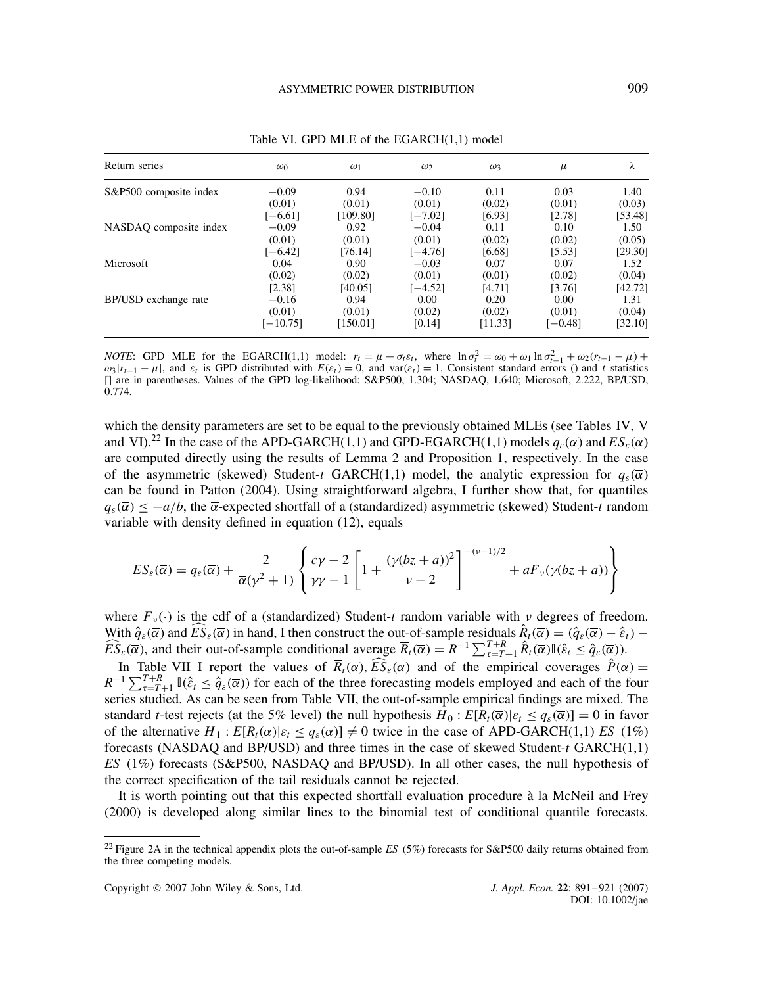| Return series          | $\omega_0$ | $\omega_1$ | $\omega_2$ | $\omega_3$ | $\mu$   | λ       |
|------------------------|------------|------------|------------|------------|---------|---------|
| S&P500 composite index | $-0.09$    | 0.94       | $-0.10$    | 0.11       | 0.03    | 1.40    |
|                        | (0.01)     | (0.01)     | (0.01)     | (0.02)     | (0.01)  | (0.03)  |
|                        | $[-6.61]$  | [109.80]   | $[-7.02]$  | [6.93]     | [2.78]  | [53.48] |
| NASDAO composite index | $-0.09$    | 0.92       | $-0.04$    | 0.11       | 0.10    | 1.50    |
|                        | (0.01)     | (0.01)     | (0.01)     | (0.02)     | (0.02)  | (0.05)  |
|                        | $[-6.42]$  | [76.14]    | $[-4.76]$  | [6.68]     | [5.53]  | [29.30] |
| Microsoft              | 0.04       | 0.90       | $-0.03$    | 0.07       | 0.07    | 1.52    |
|                        | (0.02)     | (0.02)     | (0.01)     | (0.01)     | (0.02)  | (0.04)  |
|                        | [2.38]     | [40.05]    | $[-4.52]$  | [4.71]     | [3.76]  | [42.72] |
| BP/USD exchange rate   | $-0.16$    | 0.94       | 0.00       | 0.20       | 0.00    | 1.31    |
|                        | (0.01)     | (0.01)     | (0.02)     | (0.02)     | (0.01)  | (0.04)  |
|                        | $[-10.75]$ | [150.01]   | [0.14]     | [11.33]    | [-0.48] | [32.10] |

Table VI. GPD MLE of the EGARCH(1,1) model

*NOTE*: GPD MLE for the EGARCH(1,1) model:  $r_t = \mu + \sigma_t \varepsilon_t$ , where  $\ln \sigma_t^2 = \omega_0 + \omega_1 \ln \sigma_{t-1}^2 + \omega_2 (r_{t-1} - \mu) +$  $\omega_3|r_{t-1} - \mu|$ , and  $\varepsilon_t$  is GPD distributed with  $E(\varepsilon_t) = 0$ , and var $(\varepsilon_t) = 1$ . Consistent standard errors () and t statistics [] are in parentheses. Values of the GPD log-likelihood: S&P500, 1.304; NASDAQ, 1.640; Microsoft, 2.222, BP/USD, 0.774.

which the density parameters are set to be equal to the previously obtained MLEs (see Tables IV, V and VI).<sup>22</sup> In the case of the APD-GARCH(1,1) and GPD-EGARCH(1,1) models  $q_{\varepsilon}(\overline{\alpha})$  and  $ES_{\varepsilon}(\overline{\alpha})$ are computed directly using the results of Lemma 2 and Proposition 1, respectively. In the case of the asymmetric (skewed) Student-t GARCH(1,1) model, the analytic expression for  $q_{\varepsilon}(\overline{\alpha})$ can be found in Patton (2004). Using straightforward algebra, I further show that, for quantiles  $q_{\varepsilon}(\overline{\alpha}) \le -a/b$ , the  $\overline{\alpha}$ -expected shortfall of a (standardized) asymmetric (skewed) Student-t random variable with density defined in equation (12), equals

$$
ES_{\varepsilon}(\overline{\alpha}) = q_{\varepsilon}(\overline{\alpha}) + \frac{2}{\overline{\alpha}(\gamma^2 + 1)} \left\{ \frac{c\gamma - 2}{\gamma\gamma - 1} \left[ 1 + \frac{(\gamma(bz + a))^2}{\gamma - 2} \right]^{-(\nu - 1)/2} + aF_{\nu}(\gamma(bz + a)) \right\}
$$

where  $F_{\nu}(\cdot)$  is the cdf of a (standardized) Student-t random variable with  $\nu$  degrees of freedom. With  $\hat{q}_{\varepsilon}(\overline{\alpha})$  and  $\widehat{ES}_{\varepsilon}(\overline{\alpha})$  in hand, I then construct the out-of-sample residuals  $\hat{R}_t(\overline{\alpha}) = (\hat{q}_{\varepsilon}(\overline{\alpha}) - \hat{\varepsilon}_t) \widehat{ES}_{\varepsilon}(\overline{\alpha})$ , and their out-of-sample conditional average  $\overline{R}_t(\overline{\alpha}) = R^{-1} \sum_{\tau=T+1}^{T+R} \hat{R}_t(\overline{\alpha}) \mathbb{I}(\hat{\varepsilon}_t \leq \hat{q}_{\varepsilon}(\overline{\alpha}))$ .

In Table VII I report the values of  $\overline{R}_t(\overline{\alpha})$ ,  $\widehat{ES}_{\varepsilon}(\overline{\alpha})$  and of the empirical coverages  $\hat{P}(\overline{\alpha}) =$  $R^{-1}\sum_{\tau=T+1}^{T+R} \mathbb{I}(\hat{\varepsilon}_t \leq \hat{q}_{\varepsilon}(\overline{\alpha}))$  for each of the three forecasting models employed and each of the four series studied. As can be seen from Table VII, the out-of-sample empirical findings are mixed. The standard *t*-test rejects (at the 5% level) the null hypothesis  $H_0: E[R_t(\overline{\alpha})| \varepsilon_t \leq q_{\varepsilon}(\overline{\alpha})] = 0$  in favor of the alternative  $H_1: E[R_t(\overline{\alpha}) | \varepsilon_t \leq q_{\varepsilon}(\overline{\alpha})] \neq 0$  twice in the case of APD-GARCH(1,1) *ES* (1%) forecasts (NASDAQ and BP/USD) and three times in the case of skewed Student- $t$  GARCH $(1,1)$ *ES* (1%) forecasts (S&P500, NASDAQ and BP/USD). In all other cases, the null hypothesis of the correct specification of the tail residuals cannot be rejected.

It is worth pointing out that this expected shortfall evaluation procedure à la McNeil and Frey (2000) is developed along similar lines to the binomial test of conditional quantile forecasts.

<sup>22</sup> Figure 2A in the technical appendix plots the out-of-sample *ES* (5%) forecasts for S&P500 daily returns obtained from the three competing models.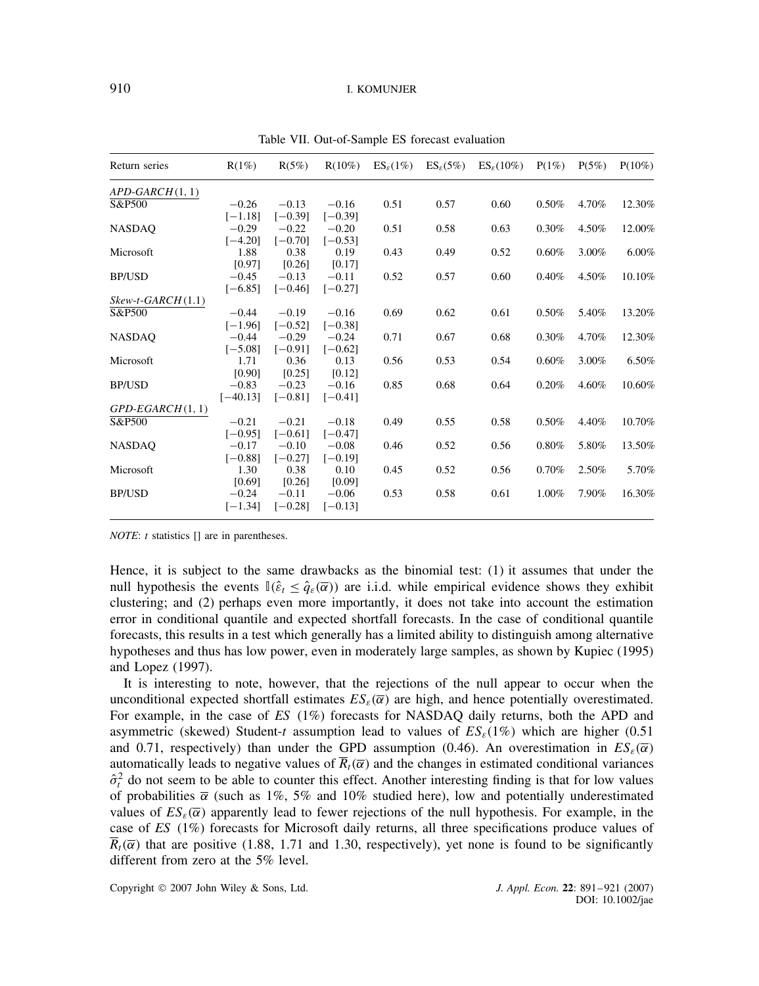| 12.30%                                                                                                   |
|----------------------------------------------------------------------------------------------------------|
|                                                                                                          |
| 12.00%                                                                                                   |
|                                                                                                          |
| $6.00\%$                                                                                                 |
|                                                                                                          |
| 10.10%                                                                                                   |
|                                                                                                          |
|                                                                                                          |
| 13.20%                                                                                                   |
|                                                                                                          |
| 12.30%                                                                                                   |
|                                                                                                          |
| 6.50%                                                                                                    |
|                                                                                                          |
| 10.60%                                                                                                   |
|                                                                                                          |
|                                                                                                          |
| 10.70%                                                                                                   |
|                                                                                                          |
| 13.50%                                                                                                   |
|                                                                                                          |
| 5.70%                                                                                                    |
|                                                                                                          |
| 16.30%                                                                                                   |
|                                                                                                          |
| 4.70%<br>4.50%<br>3.00%<br>4.50%<br>5.40%<br>4.70%<br>3.00%<br>4.60%<br>4.40%<br>5.80%<br>2.50%<br>7.90% |

Table VII. Out-of-Sample ES forecast evaluation

*NOTE*: *t* statistics [] are in parentheses.

Hence, it is subject to the same drawbacks as the binomial test: (1) it assumes that under the null hypothesis the events  $\mathbb{I}(\hat{\varepsilon}_t \leq \hat{q}_s(\overline{\alpha}))$  are i.i.d. while empirical evidence shows they exhibit clustering; and (2) perhaps even more importantly, it does not take into account the estimation error in conditional quantile and expected shortfall forecasts. In the case of conditional quantile forecasts, this results in a test which generally has a limited ability to distinguish among alternative hypotheses and thus has low power, even in moderately large samples, as shown by Kupiec (1995) and Lopez (1997).

It is interesting to note, however, that the rejections of the null appear to occur when the unconditional expected shortfall estimates  $ES_{\varepsilon}(\overline{\alpha})$  are high, and hence potentially overestimated. For example, in the case of *ES* (1%) forecasts for NASDAQ daily returns, both the APD and asymmetric (skewed) Student-t assumption lead to values of  $ES_{\varepsilon}(1\%)$  which are higher (0.51) and 0.71, respectively) than under the GPD assumption (0.46). An overestimation in  $ES_{\varepsilon}(\overline{\alpha})$ automatically leads to negative values of  $\overline{R}_t(\overline{\alpha})$  and the changes in estimated conditional variances  $\hat{\sigma}_t^2$  do not seem to be able to counter this effect. Another interesting finding is that for low values of probabilities  $\bar{\alpha}$  (such as 1%, 5% and 10% studied here), low and potentially underestimated values of  $ES_{\varepsilon}(\overline{\alpha})$  apparently lead to fewer rejections of the null hypothesis. For example, in the case of *ES* (1%) forecasts for Microsoft daily returns, all three specifications produce values of  $\overline{R}_t(\overline{\alpha})$  that are positive (1.88, 1.71 and 1.30, respectively), yet none is found to be significantly different from zero at the 5% level.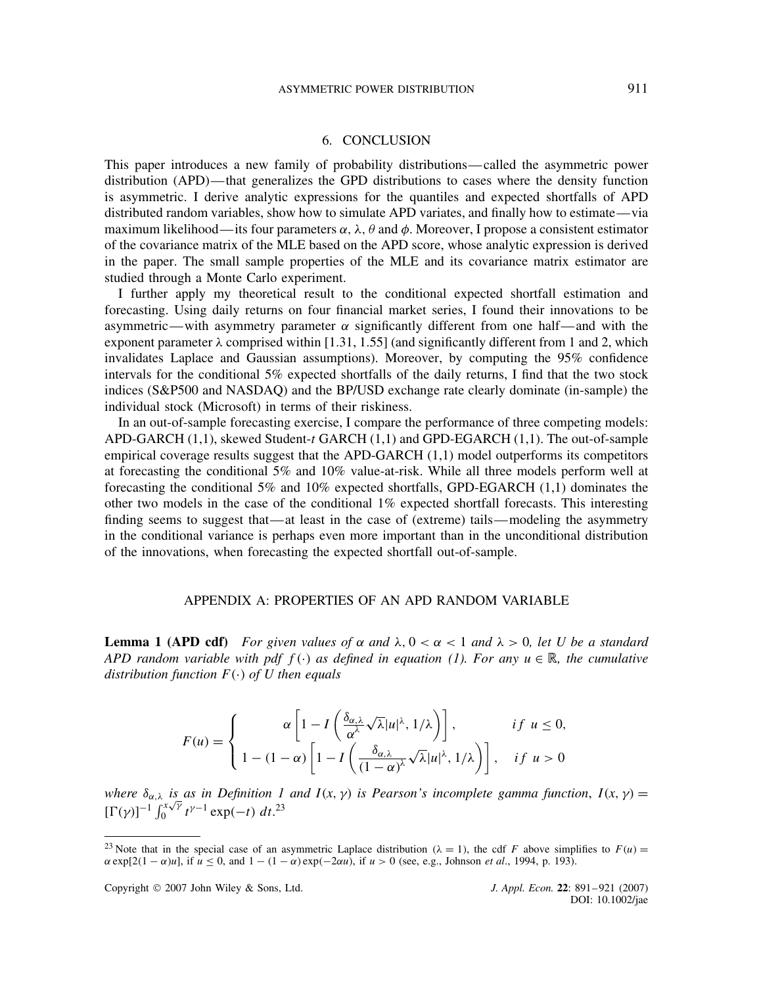#### 6. CONCLUSION

This paper introduces a new family of probability distributions—called the asymmetric power distribution (APD)—that generalizes the GPD distributions to cases where the density function is asymmetric. I derive analytic expressions for the quantiles and expected shortfalls of APD distributed random variables, show how to simulate APD variates, and finally how to estimate—via maximum likelihood—its four parameters  $\alpha$ ,  $\lambda$ ,  $\theta$  and  $\phi$ . Moreover, I propose a consistent estimator of the covariance matrix of the MLE based on the APD score, whose analytic expression is derived in the paper. The small sample properties of the MLE and its covariance matrix estimator are studied through a Monte Carlo experiment.

I further apply my theoretical result to the conditional expected shortfall estimation and forecasting. Using daily returns on four financial market series, I found their innovations to be asymmetric—with asymmetry parameter  $\alpha$  significantly different from one half—and with the exponent parameter  $\lambda$  comprised within [1.31, 1.55] (and significantly different from 1 and 2, which invalidates Laplace and Gaussian assumptions). Moreover, by computing the 95% confidence intervals for the conditional 5% expected shortfalls of the daily returns, I find that the two stock indices (S&P500 and NASDAQ) and the BP/USD exchange rate clearly dominate (in-sample) the individual stock (Microsoft) in terms of their riskiness.

In an out-of-sample forecasting exercise, I compare the performance of three competing models: APD-GARCH (1,1), skewed Student-t GARCH (1,1) and GPD-EGARCH (1,1). The out-of-sample empirical coverage results suggest that the APD-GARCH (1,1) model outperforms its competitors at forecasting the conditional 5% and 10% value-at-risk. While all three models perform well at forecasting the conditional 5% and 10% expected shortfalls, GPD-EGARCH (1,1) dominates the other two models in the case of the conditional 1% expected shortfall forecasts. This interesting finding seems to suggest that—at least in the case of (extreme) tails—modeling the asymmetry in the conditional variance is perhaps even more important than in the unconditional distribution of the innovations, when forecasting the expected shortfall out-of-sample.

## APPENDIX A: PROPERTIES OF AN APD RANDOM VARIABLE

**Lemma 1 (APD cdf)** For given values of  $\alpha$  and  $\lambda$ ,  $0 < \alpha < 1$  and  $\lambda > 0$ , let U be a standard *APD random variable with pdf*  $f(\cdot)$  *as defined in equation (1). For any*  $u \in \mathbb{R}$ , the cumulative distribution function  $F(\cdot)$  of U then equals

$$
F(u) = \begin{cases} \alpha \left[ 1 - I\left( \frac{\delta_{\alpha,\lambda}}{\alpha^{\lambda}} \sqrt{\lambda} |u|^{\lambda}, 1/\lambda \right) \right], & \text{if } u \le 0, \\ 1 - (1 - \alpha) \left[ 1 - I\left( \frac{\delta_{\alpha,\lambda}}{(1 - \alpha)^{\lambda}} \sqrt{\lambda} |u|^{\lambda}, 1/\lambda \right) \right], & \text{if } u > 0 \end{cases}
$$

*where*  $\delta_{\alpha,\lambda}$  *is as in Definition 1 and I(x, y) is Pearson's incomplete gamma function, I(x, y)* = where  $\sigma_{\alpha,\lambda}$  is<br> $[\Gamma(\gamma)]^{-1} \int_0^{x\sqrt{\gamma}}$  $\int_0^{x/\gamma} t^{\gamma-1} \exp(-t) dt^{23}$ 

<sup>&</sup>lt;sup>23</sup> Note that in the special case of an asymmetric Laplace distribution ( $\lambda = 1$ ), the cdf F above simplifies to  $F(u)$  $\alpha \exp[2(1-\alpha)u]$ , if  $u \le 0$ , and  $1-(1-\alpha)\exp(-2\alpha u)$ , if  $u > 0$  (see, e.g., Johnson *et al.*, 1994, p. 193).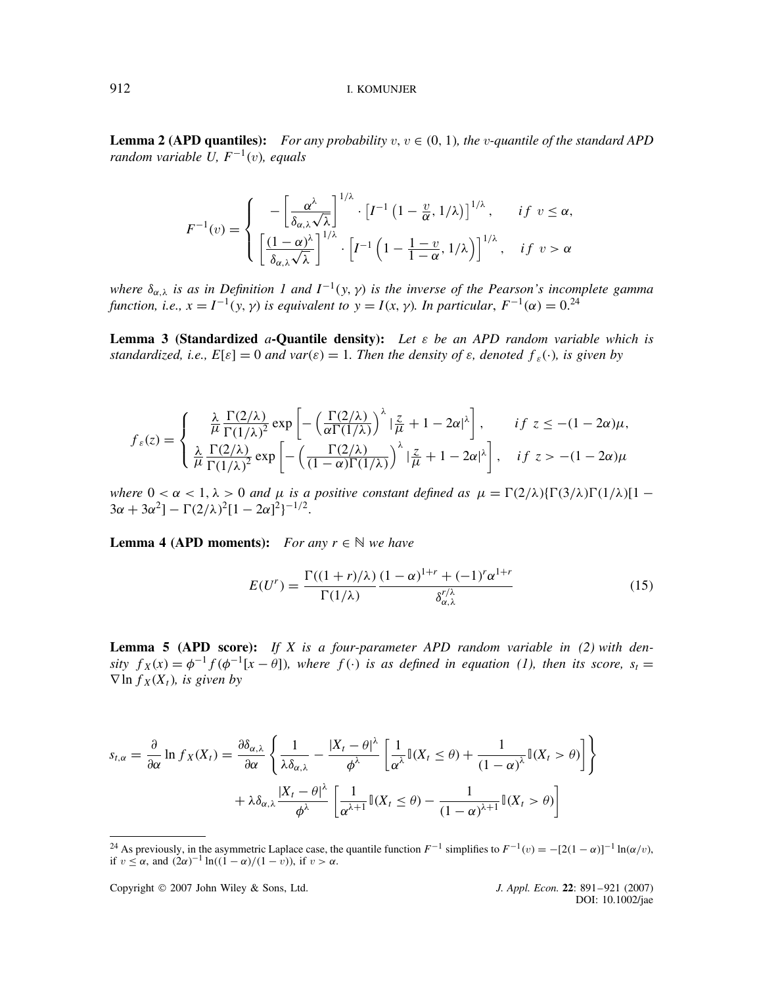**Lemma 2 (APD quantiles):** For any probability  $v, v \in (0, 1)$ , the *v*-quantile of the standard APD *random variable U,*  $F^{-1}(v)$ , equals

$$
F^{-1}(v) = \begin{cases} \n-\left[\frac{\alpha^{\lambda}}{\delta_{\alpha,\lambda}\sqrt{\lambda}}\right]^{1/\lambda} \cdot \left[I^{-1}\left(1-\frac{v}{\alpha},1/\lambda\right)\right]^{1/\lambda}, & \text{if } v \le \alpha, \\
\left[\frac{(1-\alpha)^{\lambda}}{\delta_{\alpha,\lambda}\sqrt{\lambda}}\right]^{1/\lambda} \cdot \left[I^{-1}\left(1-\frac{1-v}{1-\alpha},1/\lambda\right)\right]^{1/\lambda}, & \text{if } v > \alpha.\n\end{cases}
$$

where  $\delta_{\alpha,\lambda}$  is as in Definition 1 and  $I^{-1}(y, \gamma)$  is the inverse of the Pearson's incomplete gamma function, i.e.,  $x = I^{-1}(y, \gamma)$  is equivalent to  $y = I(x, \gamma)$ . In particular,  $F^{-1}(\alpha) = 0$ .<sup>24</sup>

**Lemma 3 (Standardized** a**-Quantile density):** *Let* ε *be an APD random variable which is standardized, i.e.,*  $E[\varepsilon] = 0$  *and var*( $\varepsilon$ ) = 1. Then the density of  $\varepsilon$ , denoted  $f_{\varepsilon}(\cdot)$ , is given by

$$
f_{\varepsilon}(z) = \begin{cases} \frac{\lambda}{\mu} \frac{\Gamma(2/\lambda)}{\Gamma(1/\lambda)^2} \exp\left[ -\left(\frac{\Gamma(2/\lambda)}{\alpha \Gamma(1/\lambda)}\right)^{\lambda} |\frac{z}{\mu} + 1 - 2\alpha|^{\lambda} \right], & if \ z \leq -(1 - 2\alpha)\mu, \\ \frac{\lambda}{\mu} \frac{\Gamma(2/\lambda)}{\Gamma(1/\lambda)^2} \exp\left[ -\left(\frac{\Gamma(2/\lambda)}{(1 - \alpha)\Gamma(1/\lambda)}\right)^{\lambda} |\frac{z}{\mu} + 1 - 2\alpha|^{\lambda} \right], & if \ z > -(1 - 2\alpha)\mu \end{cases}
$$

where  $0 < \alpha < 1$ ,  $\lambda > 0$  and  $\mu$  is a positive constant defined as  $\mu = \Gamma(2/\lambda)\{\Gamma(3/\lambda)\Gamma(1/\lambda)\}$  - $3\alpha + 3\alpha^2$ ] –  $\Gamma(2/\lambda)^2$ [1 –  $2\alpha$ ]<sup>2</sup>}<sup>-1/2</sup>.

**Lemma 4 (APD moments):** *For any*  $r \in \mathbb{N}$  *we have* 

$$
E(U^r) = \frac{\Gamma((1+r)/\lambda)}{\Gamma(1/\lambda)} \frac{(1-\alpha)^{1+r} + (-1)^r \alpha^{1+r}}{\delta_{\alpha,\lambda}^{r/\lambda}}
$$
(15)

**Lemma 5 (APD score):** *If X is a four-parameter APD random variable in (2) with den*sity  $f_X(x) = \phi^{-1} f(\phi^{-1}[x - \theta])$ , where  $f(\cdot)$  is as defined in equation (1), then its score,  $s_t =$  $\nabla$  ln  $f_X(X_t)$ , is given by

$$
s_{t,\alpha} = \frac{\partial}{\partial \alpha} \ln f_X(X_t) = \frac{\partial \delta_{\alpha,\lambda}}{\partial \alpha} \left\{ \frac{1}{\lambda \delta_{\alpha,\lambda}} - \frac{|X_t - \theta|^\lambda}{\phi^\lambda} \left[ \frac{1}{\alpha^\lambda} \mathbb{I}(X_t \le \theta) + \frac{1}{(1 - \alpha)^\lambda} \mathbb{I}(X_t > \theta) \right] \right\}
$$

$$
+ \lambda \delta_{\alpha,\lambda} \frac{|X_t - \theta|^\lambda}{\phi^\lambda} \left[ \frac{1}{\alpha^{\lambda+1}} \mathbb{I}(X_t \le \theta) - \frac{1}{(1 - \alpha)^{\lambda+1}} \mathbb{I}(X_t > \theta) \right]
$$

Copyright 2007 John Wiley & Sons, Ltd. *J. Appl. Econ.* **22**: 891–921 (2007)

<sup>&</sup>lt;sup>24</sup> As previously, in the asymmetric Laplace case, the quantile function  $F^{-1}$  simplifies to  $F^{-1}(v) = -[2(1-\alpha)]^{-1} \ln(\alpha/v)$ , if  $v \le \alpha$ , and  $(2\alpha)^{-1} \ln((1-\alpha)/(1-\nu))$ , if  $v > \alpha$ .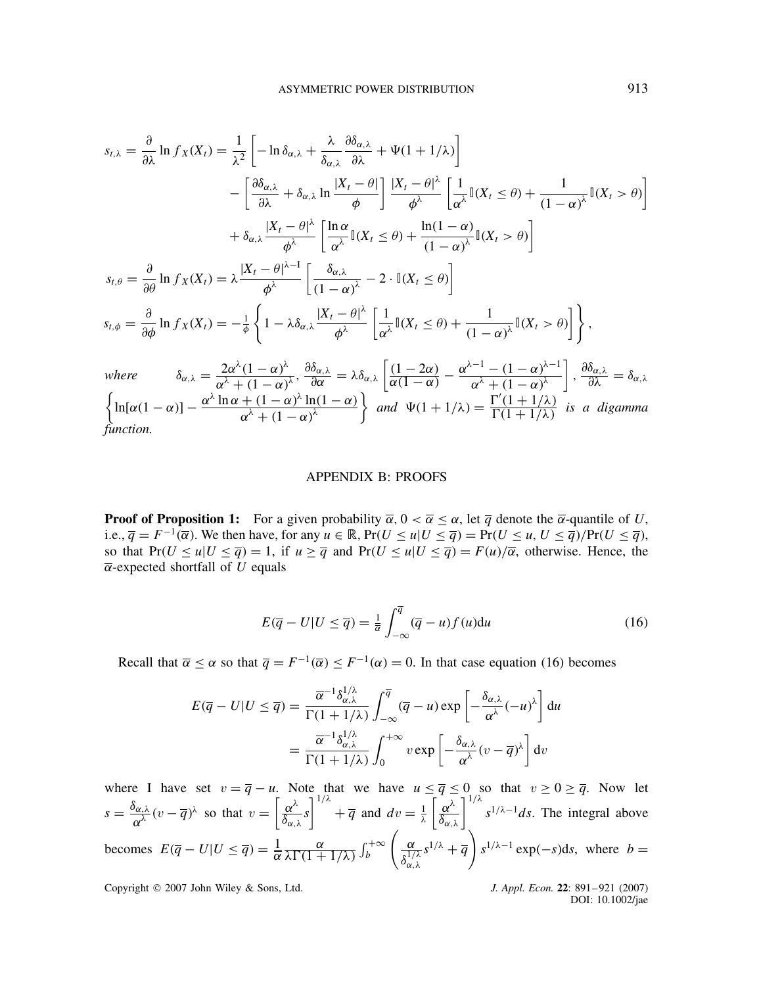$$
s_{t,\lambda} = \frac{\partial}{\partial \lambda} \ln f_X(X_t) = \frac{1}{\lambda^2} \left[ -\ln \delta_{\alpha,\lambda} + \frac{\lambda}{\delta_{\alpha,\lambda}} \frac{\partial \delta_{\alpha,\lambda}}{\partial \lambda} + \Psi(1+1/\lambda) \right]
$$
  
\n
$$
- \left[ \frac{\partial \delta_{\alpha,\lambda}}{\partial \lambda} + \delta_{\alpha,\lambda} \ln \frac{|X_t - \theta|}{\phi} \right] \frac{|X_t - \theta|^{\lambda}}{\phi^{\lambda}} \left[ \frac{1}{\alpha^{\lambda}} \mathbb{I}(X_t \le \theta) + \frac{1}{(1-\alpha)^{\lambda}} \mathbb{I}(X_t > \theta) \right]
$$
  
\n
$$
+ \delta_{\alpha,\lambda} \frac{|X_t - \theta|^{\lambda}}{\phi^{\lambda}} \left[ \frac{\ln \alpha}{\alpha^{\lambda}} \mathbb{I}(X_t \le \theta) + \frac{\ln(1-\alpha)}{(1-\alpha)^{\lambda}} \mathbb{I}(X_t > \theta) \right]
$$
  
\n
$$
s_{t,\theta} = \frac{\partial}{\partial \theta} \ln f_X(X_t) = \lambda \frac{|X_t - \theta|^{\lambda-1}}{\phi^{\lambda}} \left[ \frac{\delta_{\alpha,\lambda}}{(1-\alpha)^{\lambda}} - 2 \cdot \mathbb{I}(X_t \le \theta) \right]
$$
  
\n
$$
s_{t,\phi} = \frac{\partial}{\partial \phi} \ln f_X(X_t) = -\frac{1}{\phi} \left\{ 1 - \lambda \delta_{\alpha,\lambda} \frac{|X_t - \theta|^{\lambda}}{\phi^{\lambda}} \left[ \frac{1}{\alpha^{\lambda}} \mathbb{I}(X_t \le \theta) + \frac{1}{(1-\alpha)^{\lambda}} \mathbb{I}(X_t > \theta) \right] \right\},
$$
  
\nwhere  $\delta_{\alpha,\lambda} = \frac{2\alpha^{\lambda}(1-\alpha)^{\lambda}}{\alpha^{\lambda} + (1-\alpha)^{\lambda}}, \frac{\partial \delta_{\alpha,\lambda}}{\partial \alpha} = \lambda \delta_{\alpha,\lambda} \left[ \frac{(1-2\alpha)}{\alpha(1-\alpha)} - \frac{\alpha^{\lambda-1} - (1-\alpha)^{\lambda-1}}{\alpha^{\lambda} + (1-\alpha)^{\lambda}} \right], \frac{\partial \delta_{\alpha,\lambda}}{\partial \lambda} = \delta_{\alpha,\lambda}$ 

 $\left\{\ln[\alpha(1-\alpha)] - \frac{\alpha^{\lambda}\ln\alpha + (1-\alpha)^{\lambda}\ln(1-\alpha)}{\lambda} \right\}$  $\alpha^{\lambda} + (1 - \alpha)^{\lambda}$  $\begin{cases}$  and  $\Psi(1+1/\lambda) = \frac{\Gamma'(1+1/\lambda)}{\Gamma(1+1/\lambda)} \end{cases}$  $\frac{1}{\Gamma(1+1/\lambda)}$  is a digamma *function.*

#### APPENDIX B: PROOFS

**Proof of Proposition 1:** For a given probability  $\overline{\alpha}$ ,  $0 < \overline{\alpha} \le \alpha$ , let  $\overline{q}$  denote the  $\overline{\alpha}$ -quantile of U, i.e.,  $\overline{q} = F^{-1}(\overline{\alpha})$ . We then have, for any  $u \in \mathbb{R}$ , Pr( $U \le u | U \le \overline{q}$ ) = Pr( $U \le u, U \le \overline{q}$ )/Pr( $U \le \overline{q}$ ), so that  $Pr(U \le u | U \le \overline{q}) = 1$ , if  $u \ge \overline{q}$  and  $Pr(U \le u | U \le \overline{q}) = F(u)/\overline{\alpha}$ , otherwise. Hence, the  $\overline{\alpha}$ -expected shortfall of U equals

$$
E(\overline{q} - U|U \leq \overline{q}) = \frac{1}{\overline{\alpha}} \int_{-\infty}^{\overline{q}} (\overline{q} - u) f(u) \mathrm{d}u \tag{16}
$$

Recall that  $\overline{\alpha} \le \alpha$  so that  $\overline{q} = F^{-1}(\overline{\alpha}) \le F^{-1}(\alpha) = 0$ . In that case equation (16) becomes

$$
E(\overline{q} - U|U \leq \overline{q}) = \frac{\overline{\alpha}^{-1} \delta_{\alpha,\lambda}^{1/\lambda}}{\Gamma(1 + 1/\lambda)} \int_{-\infty}^{\overline{q}} (\overline{q} - u) \exp\left[ -\frac{\delta_{\alpha,\lambda}}{\alpha^{\lambda}} (-u)^{\lambda} \right] du
$$

$$
= \frac{\overline{\alpha}^{-1} \delta_{\alpha,\lambda}^{1/\lambda}}{\Gamma(1 + 1/\lambda)} \int_{0}^{+\infty} v \exp\left[ -\frac{\delta_{\alpha,\lambda}}{\alpha^{\lambda}} (v - \overline{q})^{\lambda} \right] dv
$$

where I have set  $v = \overline{q} - u$ . Note that we have  $u \leq \overline{q} \leq 0$  so that  $v \geq 0 \geq \overline{q}$ . Now let  $s = \frac{\delta_{\alpha,\lambda}}{\alpha^{\lambda}} (v - \overline{q})^{\lambda}$  so that  $v = \left[\frac{\alpha^{\lambda}}{\delta_{\alpha,\lambda}}\right]$  $\left[\frac{\alpha^{\lambda}}{\delta_{\alpha,\lambda}}s\right]^{1/\lambda} + \overline{q}$  and  $dv = \frac{1}{\lambda}$  $\left[\frac{\alpha^{\lambda}}{\delta_{\alpha,\lambda}}\right]^{1/\lambda} s^{1/\lambda-1} ds$ . The integral above becomes  $E(\overline{q} - U|U \leq \overline{q}) = \frac{1}{\alpha}$  $\alpha$  $\frac{\alpha}{\lambda \Gamma(1+1/\lambda)} \int_b^{+\infty}$  $\sqrt{\alpha}$  $\delta_{\alpha,\lambda}^{1/\lambda}$  $s^{1/\lambda} + \overline{q}$   $s^{1/\lambda - 1}$  exp(-s)ds, where  $b =$ 

Copyright 2007 John Wiley & Sons, Ltd. *J. Appl. Econ.* **22**: 891–921 (2007)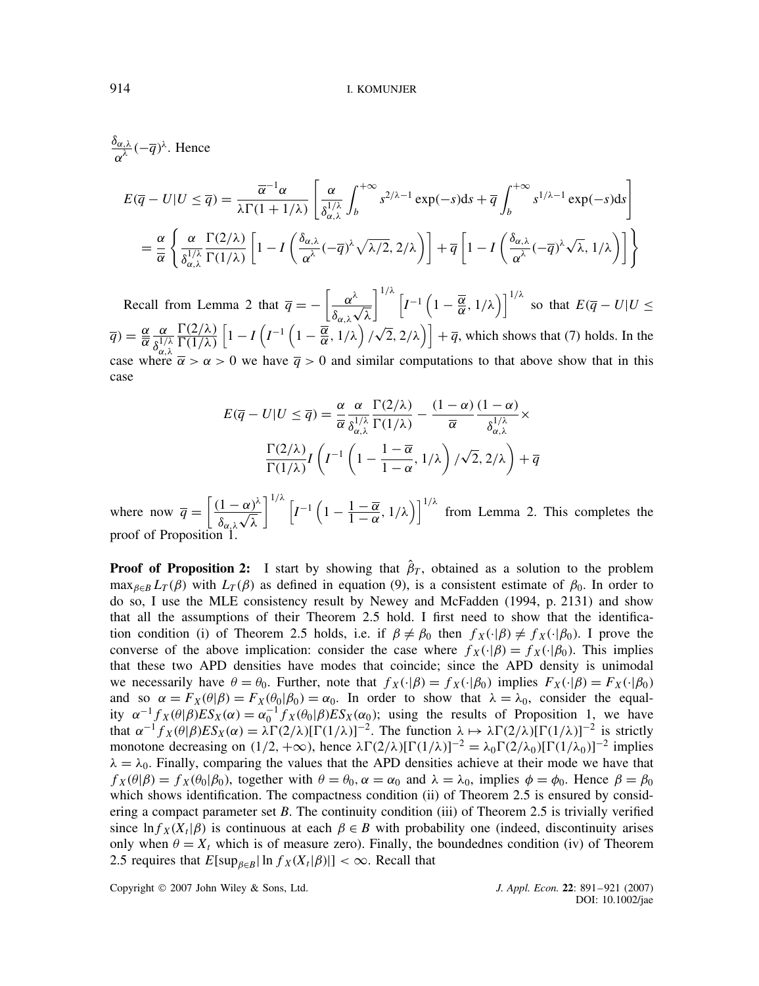$rac{\delta_{\alpha,\lambda}}{\alpha^{\lambda}}(-\overline{q})^{\lambda}$ . Hence

$$
E(\overline{q} - U|U \leq \overline{q}) = \frac{\overline{\alpha}^{-1} \alpha}{\lambda \Gamma(1 + 1/\lambda)} \left[ \frac{\alpha}{\delta_{\alpha,\lambda}^{1/\lambda}} \int_{b}^{+\infty} s^{2/\lambda - 1} \exp(-s) \, \mathrm{d}s + \overline{q} \int_{b}^{+\infty} s^{1/\lambda - 1} \exp(-s) \, \mathrm{d}s \right]
$$
\n
$$
= \frac{\alpha}{\overline{\alpha}} \left\{ \frac{\alpha}{\delta_{\alpha,\lambda}^{1/\lambda}} \frac{\Gamma(2/\lambda)}{\Gamma(1/\lambda)} \left[ 1 - I \left( \frac{\delta_{\alpha,\lambda}}{\alpha^{\lambda}} (-\overline{q})^{\lambda} \sqrt{\lambda/2}, 2/\lambda \right) \right] + \overline{q} \left[ 1 - I \left( \frac{\delta_{\alpha,\lambda}}{\alpha^{\lambda}} (-\overline{q})^{\lambda} \sqrt{\lambda}, 1/\lambda \right) \right] \right\}
$$

Recall from Lemma 2 that  $\overline{q} = -\left[\frac{\alpha^{\lambda}}{q}\right]$  $\delta_{\alpha,\lambda}$  $\ddot{\ }$ λ  $\int_0^{1/\lambda} \left[ I^{-1} \left( 1 - \frac{\overline{\alpha}}{\alpha}, 1/\lambda \right) \right]^{1/\lambda}$  so that  $E(\overline{q} - U | U \leq \overline{\alpha})$  $\overline{q}$ ) =  $\frac{\alpha}{\alpha}$  $\alpha$  $\overline{\delta_{\alpha,\lambda}^{1/\lambda}}$  $\Gamma(2/\lambda)$  $\frac{\Gamma(2/\lambda)}{\Gamma(1/\lambda)}\left[1-I\left(I-\frac{1}{\alpha},1/\lambda\right)/\sqrt{2},2/\lambda\right]+\overline{q}$ , which shows that (7) holds. In the case where  $\bar{\alpha} > \alpha > 0$  we have  $\bar{q} > 0$  and similar computations to that above show that in this case

$$
E(\overline{q} - U|U \leq \overline{q}) = \frac{\alpha}{\overline{\alpha}} \frac{\alpha}{\delta_{\alpha,\lambda}^{1/\lambda}} \frac{\Gamma(2/\lambda)}{\Gamma(1/\lambda)} - \frac{(1-\alpha)}{\overline{\alpha}} \frac{(1-\alpha)}{\delta_{\alpha,\lambda}^{1/\lambda}} \times \frac{\Gamma(2/\lambda)}{\Gamma(1/\lambda)} I\left(I^{-1}\left(1 - \frac{1-\overline{\alpha}}{1-\alpha}, 1/\lambda\right) / \sqrt{2}, 2/\lambda\right) + \overline{q}
$$

where now  $\overline{q} = \left[ \frac{(1-\alpha)^{\lambda}}{2} \right]$  $\delta_{\alpha,\lambda}$  $\frac{\alpha}{\alpha}$ λ  $\left[ I^{-1} \left( 1 - \frac{1 - \overline{\alpha}}{1 - \alpha}, 1/\lambda \right) \right]^{1/\lambda}$  from Lemma 2. This completes the proof of Proposition

**Proof of Proposition 2:** I start by showing that  $\hat{\beta}_T$ , obtained as a solution to the problem  $\max_{\beta \in B} L_T(\beta)$  with  $L_T(\beta)$  as defined in equation (9), is a consistent estimate of  $\beta_0$ . In order to do so, I use the MLE consistency result by Newey and McFadden (1994, p. 2131) and show that all the assumptions of their Theorem 2.5 hold. I first need to show that the identification condition (i) of Theorem 2.5 holds, i.e. if  $\beta \neq \beta_0$  then  $f_X(\cdot|\beta) \neq f_X(\cdot|\beta_0)$ . I prove the converse of the above implication: consider the case where  $f_X(\cdot|\beta) = f_X(\cdot|\beta_0)$ . This implies that these two APD densities have modes that coincide; since the APD density is unimodal we necessarily have  $\theta = \theta_0$ . Further, note that  $f_X(\cdot|\beta) = f_X(\cdot|\beta_0)$  implies  $F_X(\cdot|\beta) = F_X(\cdot|\beta_0)$ and so  $\alpha = F_X(\theta|\beta) = F_X(\theta_0|\beta_0) = \alpha_0$ . In order to show that  $\lambda = \lambda_0$ , consider the equality  $\alpha^{-1}f_X(\theta|\beta)ES_X(\alpha) = \alpha_0^{-1}f_X(\theta_0|\beta)ES_X(\alpha_0)$ ; using the results of Proposition 1, we have that  $\alpha^{-1} f_X(\theta | \beta) E S_X(\alpha) = \lambda \Gamma(2/\lambda) [\Gamma(1/\lambda)]^{-2}$ . The function  $\lambda \mapsto \lambda \Gamma(2/\lambda) [\Gamma(1/\lambda)]^{-2}$  is strictly monotone decreasing on  $(1/2, +\infty)$ , hence  $\lambda \Gamma(2/\lambda) [\Gamma(1/\lambda)]^{-2} = \lambda_0 \Gamma(2/\lambda_0) [\Gamma(1/\lambda_0)]^{-2}$  implies  $\lambda = \lambda_0$ . Finally, comparing the values that the APD densities achieve at their mode we have that  $f_X(\theta|\beta) = f_X(\theta_0|\beta_0)$ , together with  $\theta = \theta_0$ ,  $\alpha = \alpha_0$  and  $\lambda = \lambda_0$ , implies  $\phi = \phi_0$ . Hence  $\beta = \beta_0$ which shows identification. The compactness condition (ii) of Theorem 2.5 is ensured by considering a compact parameter set  $B$ . The continuity condition (iii) of Theorem 2.5 is trivially verified since  $\ln f_X(X_t|\beta)$  is continuous at each  $\beta \in B$  with probability one (indeed, discontinuity arises only when  $\theta = X_t$  which is of measure zero). Finally, the boundednes condition (iv) of Theorem 2.5 requires that  $E[\sup_{\beta \in B} \ln f_X(X_t|\beta)] < \infty$ . Recall that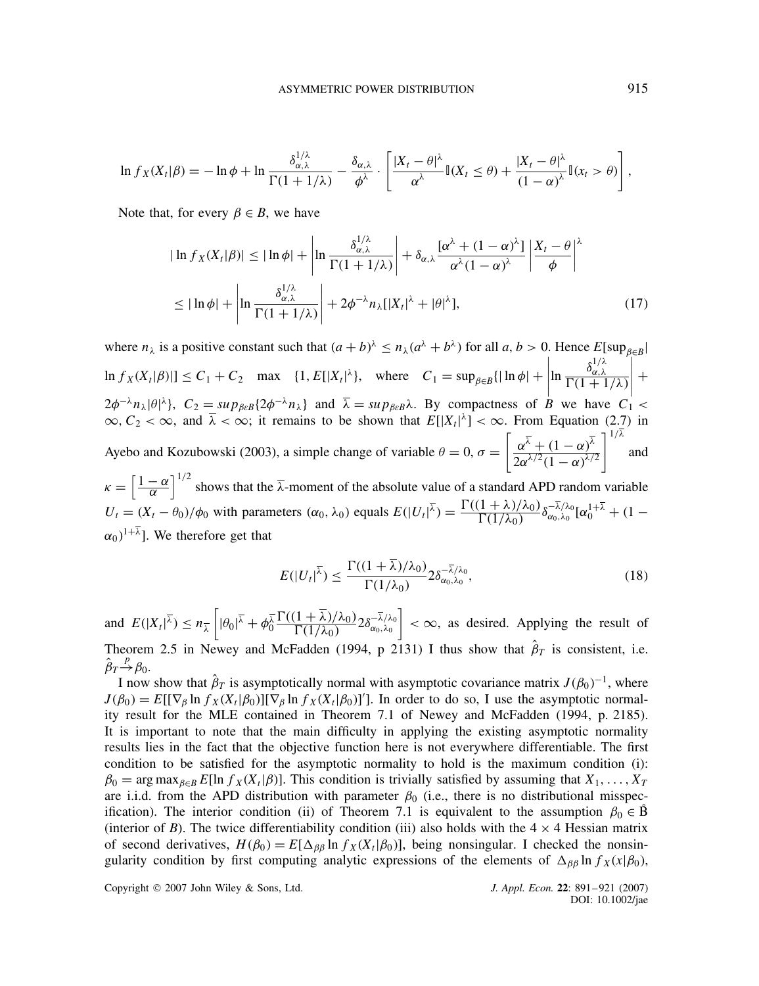$$
\ln f_X(X_t|\beta) = -\ln \phi + \ln \frac{\delta_{\alpha,\lambda}^{1/\lambda}}{\Gamma(1+1/\lambda)} - \frac{\delta_{\alpha,\lambda}}{\phi^{\lambda}} \cdot \left[ \frac{|X_t - \theta|^{\lambda}}{\alpha^{\lambda}} \mathbb{I}(X_t \le \theta) + \frac{|X_t - \theta|^{\lambda}}{(1-\alpha)^{\lambda}} \mathbb{I}(x_t > \theta) \right],
$$

Note that, for every  $\beta \in B$ , we have

$$
|\ln f_X(X_t|\beta)| \le |\ln \phi| + \left|\ln \frac{\delta_{\alpha,\lambda}^{1/\lambda}}{\Gamma(1+1/\lambda)}\right| + \delta_{\alpha,\lambda} \frac{[\alpha^{\lambda} + (1-\alpha)^{\lambda}]}{\alpha^{\lambda}(1-\alpha)^{\lambda}} \left|\frac{X_t - \theta}{\phi}\right|^{\lambda}
$$
  

$$
\le |\ln \phi| + \left|\ln \frac{\delta_{\alpha,\lambda}^{1/\lambda}}{\Gamma(1+1/\lambda)}\right| + 2\phi^{-\lambda} n_{\lambda} [|X_t|^{\lambda} + |\theta|^{\lambda}], \tag{17}
$$

where  $n_{\lambda}$  is a positive constant such that  $(a+b)^{\lambda} \le n_{\lambda}(a^{\lambda}+b^{\lambda})$  for all  $a, b > 0$ . Hence  $E[\sup_{\beta \in B} |$  $\ln f_X(X_t|\beta)| \leq C_1 + C_2$  max  $\{1, E[|X_t|^{\lambda}\}, \text{ where } C_1 = \sup_{\beta \in B} \{| \ln \phi | +$  $\ln \frac{\delta_{\alpha,\lambda}^{1/\lambda}}{\Gamma(1+1/\lambda)}$  $(2\phi^{-\lambda}n_{\lambda}|\theta|^{\lambda})$ ,  $C_2 = \sup_{\beta \in B} \{2\phi^{-\lambda}n_{\lambda}\}\$ and  $\overline{\lambda} = \sup_{\beta \in B} \lambda$ . By compactness of B we have  $C_1$  < / / / /  $^{+}$  $\infty, C_2 < \infty$ , and  $\overline{\lambda} < \infty$ ; it remains to be shown that  $E[|X_t|^{\lambda}] < \infty$ . From Equation (2.7) in Ayebo and Kozubowski (2003), a simple change of variable  $\theta = 0$ ,  $\sigma =$  $\left[\frac{\alpha^{\overline{\lambda}}}{1-\alpha}\right)^{\overline{\lambda}}$  $2\alpha^{\lambda/2}(1-\alpha)^{\lambda/2}$  $1^{1/\lambda}$ and

 $\kappa = \left[\frac{1-\alpha}{\alpha}\right]^{1/2}$  shows that the  $\overline{\lambda}$ -moment of the absolute value of a standard APD random variable  $U_t = (X_t - \theta_0)/\phi_0$  with parameters  $(\alpha_0, \lambda_0)$  equals  $E(|U_t|^{\lambda}) = \frac{\Gamma((1 + \lambda)/\lambda_0)}{\Gamma(1/\lambda_0)}$  $\frac{(1 + \lambda)/\lambda_0}{\Gamma(1/\lambda_0)} \delta_{\alpha_0,\lambda_0}^{-\lambda/\lambda_0} [\alpha_0^{1+\overline{\lambda}} + (1 (\alpha_0)^{1+\overline{\lambda}}$ . We therefore get that

$$
E(|U_t|^{\overline{\lambda}}) \le \frac{\Gamma((1+\overline{\lambda})/\lambda_0)}{\Gamma(1/\lambda_0)} 2\delta_{\alpha_0,\lambda_0}^{-\overline{\lambda}/\lambda_0},\tag{18}
$$

and  $E(|X_t|^{\overline{\lambda}}) \leq n_{\overline{\lambda}} \left[ |\theta_0|^{\overline{\lambda}} + \phi_0^{\overline{\lambda}} \frac{\Gamma((1+\overline{\lambda})/\lambda_0)}{\Gamma(1/\lambda_0)} \right]$  $\frac{(1+\lambda)/\lambda_0}{\Gamma(1/\lambda_0)} 2\delta_{\alpha_0,\lambda_0}^{-\lambda/\lambda_0}$  $\vert \cdot \infty$ , as desired. Applying the result of Theorem 2.5 in Newey and McFadden (1994, p 2131) I thus show that  $\hat{\beta}_T$  is consistent, i.e.  $\hat{\beta}_T \stackrel{p}{\rightarrow} \beta_0.$ 

I now show that  $\hat{\beta}_T$  is asymptotically normal with asymptotic covariance matrix  $J(\beta_0)^{-1}$ , where  $J(\beta_0) = E[(\nabla_\beta \ln f_X(X_t|\beta_0)][\nabla_\beta \ln f_X(X_t|\beta_0)]']$ . In order to do so, I use the asymptotic normality result for the MLE contained in Theorem 7.1 of Newey and McFadden (1994, p. 2185). It is important to note that the main difficulty in applying the existing asymptotic normality results lies in the fact that the objective function here is not everywhere differentiable. The first condition to be satisfied for the asymptotic normality to hold is the maximum condition (i):  $\beta_0 = \arg \max_{\beta \in B} E[\ln f_X(X_i|\beta)]$ . This condition is trivially satisfied by assuming that  $X_1, \ldots, X_T$ are i.i.d. from the APD distribution with parameter  $\beta_0$  (i.e., there is no distributional misspecification). The interior condition (ii) of Theorem 7.1 is equivalent to the assumption  $\beta_0 \in \mathring{B}$ (interior of B). The twice differentiability condition (iii) also holds with the  $4 \times 4$  Hessian matrix of second derivatives,  $H(\beta_0) = E[\Delta_{\beta\beta} \ln f_X(X_t|\beta_0)]$ , being nonsingular. I checked the nonsingularity condition by first computing analytic expressions of the elements of  $\Delta_{\beta\beta}$  ln  $f_X(x|\beta_0)$ ,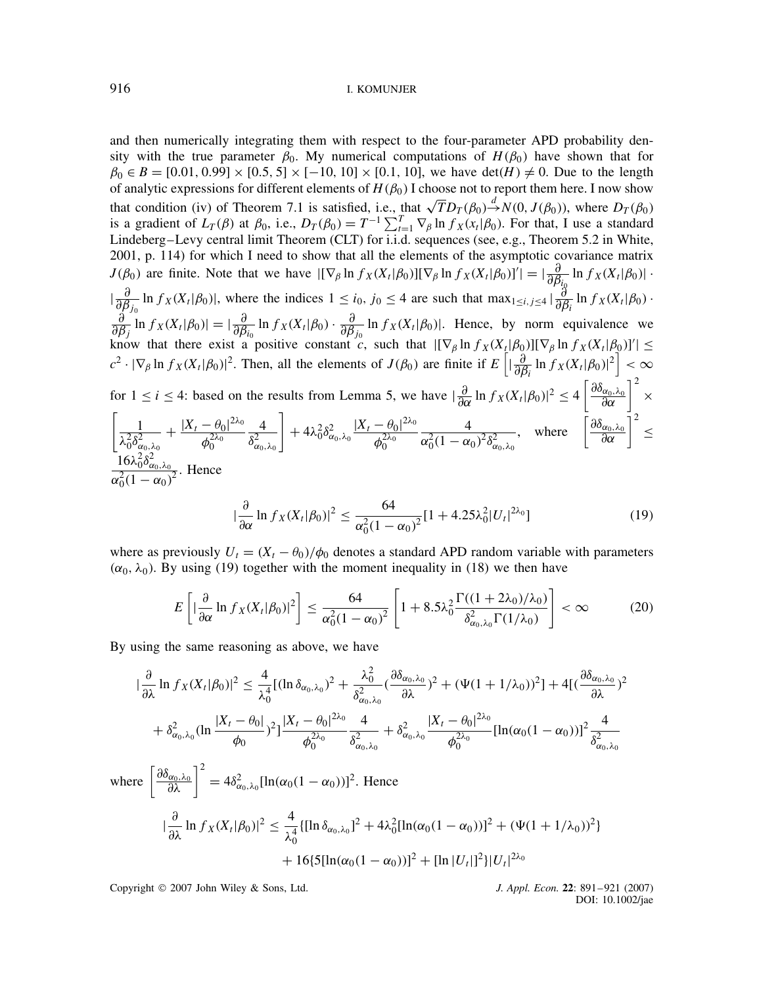and then numerically integrating them with respect to the four-parameter APD probability density with the true parameter  $\beta_0$ . My numerical computations of  $H(\beta_0)$  have shown that for  $\beta_0 \in B = [0.01, 0.99] \times [0.5, 5] \times [-10, 10] \times [0.1, 10]$ , we have  $\det(H) \neq 0$ . Due to the length of analytic expressions for different elements of  $H(\beta_0)$  I choose not to report them here. I now show that condition (iv) of Theorem 7.1 is satisfied, i.e., that  $\sqrt{T}D_T(\beta_0) \stackrel{d}{\rightarrow} N(0, J(\beta_0))$ , where  $D_T(\beta_0)$ is a gradient of  $L_T(\beta)$  at  $\beta_0$ , i.e.,  $D_T(\beta_0) = T^{-1} \sum_{t=1}^T \nabla_\beta \ln f_X(x_t | \beta_0)$ . For that, I use a standard Lindeberg–Levy central limit Theorem (CLT) for i.i.d. sequences (see, e.g., Theorem 5.2 in White, 2001, p. 114) for which I need to show that all the elements of the asymptotic covariance matrix  $J(\beta_0)$  are finite. Note that we have  $[(\nabla_\beta \ln f_X(X_t|\beta_0)][\nabla_\beta \ln f_X(X_t|\beta_0)]'] = |\frac{\partial}{\partial \beta_{i_0}} \ln f_X(X_t|\beta_0)|$ .  $\left| \frac{\partial}{\partial \beta_{j_0}} \ln f_X(X_t | \beta_0) \right|$ , where the indices  $1 \le i_0, j_0 \le 4$  are such that  $\max_{1 \le i, j \le 4} \left| \frac{\partial}{\partial \beta_i} \ln f_X(X_t | \beta_0) \right|$ . ∂  $\frac{\partial}{\partial \beta_j}$  ln  $f_X(X_t|\beta_0) = |\frac{\partial}{\partial \beta_i_0} \ln f_X(X_t|\beta_0) \cdot \frac{\partial}{\partial \beta_j_0} \ln f_X(X_t|\beta_0)|$ . Hence, by norm equivalence we know that there exist a positive constant c, such that  $|[\nabla_\beta \ln f_X(X_t|\beta_0)][\nabla_\beta \ln f_X(X_t|\beta_0)]'| \leq$ <br>  $c^2 \cdot |\nabla_\beta \ln f_X(X_t|\beta_0)|^2$ . Then, all the elements of  $J(\beta_0)$  are finite if  $E\left[|\frac{\partial}{\partial \beta_i} \ln f_X(X_t|\beta_0)|^2\right] < \infty$ for  $1 \le i \le 4$ : based on the results from Lemma 5, we have  $\left|\frac{\partial}{\partial \alpha} \ln f_X(X_t|\beta_0)\right|^2 \le 4 \left[\frac{\partial \delta_{\alpha_0,\lambda_0}}{\partial \alpha}\right]^2 \times$  $\left[\_\_1\right]$  $\lambda_0^2\delta_{\alpha_0,\lambda_0}^2$  $+ \frac{|X_t - \theta_0|^{2\lambda_0}}{2\lambda_0}$  $\phi_0^{2\lambda_0}$ 4  $\delta^2_{\alpha_0,\lambda_0}$  $+4\lambda_0^2\delta_{\alpha_0,\lambda_0}^2\frac{|X_t-\theta_0|^{2\lambda_0}}{a^{2\lambda_0}}$  $\phi_0^{2\lambda_0}$ 4  $\alpha_0^2(1-\alpha_0)^2\delta^2_{\alpha_0,\lambda_0}$ , where  $\left[\frac{\partial \delta_{\alpha_0, \lambda_0}}{\partial \alpha}\right]^2 \leq$  $\frac{16\lambda_0^2 \delta_{\alpha_0, \lambda_0}^2}{\alpha_0^2 (1 - \alpha_0)^2}$ . Hence  $\frac{\partial}{\partial}$  $\frac{\partial}{\partial \alpha} \ln f_X(X_t|\beta_0)|^2 \leq \frac{64}{\alpha_0^2(1-\alpha)}$  $\frac{\alpha_1^2}{\alpha_0^2(1-\alpha_0)^2}[1+4.25\lambda_0^2|U_t|^{2\lambda_0}]$  (  $(19)$ 

where as previously  $U_t = (X_t - \theta_0)/\phi_0$  denotes a standard APD random variable with parameters  $(\alpha_0, \lambda_0)$ . By using (19) together with the moment inequality in (18) we then have

$$
E\left[\left|\frac{\partial}{\partial\alpha}\ln f_X(X_t|\beta_0)|^2\right]\leq \frac{64}{\alpha_0^2(1-\alpha_0)^2}\left[1+8.5\lambda_0^2\frac{\Gamma((1+2\lambda_0)/\lambda_0)}{\delta_{\alpha_0,\lambda_0}^2\Gamma(1/\lambda_0)}\right]<\infty
$$
 (20)

By using the same reasoning as above, we have

$$
|\frac{\partial}{\partial \lambda} \ln f_X(X_t|\beta_0)|^2 \leq \frac{4}{\lambda_0^4} [(\ln \delta_{\alpha_0, \lambda_0})^2 + \frac{\lambda_0^2}{\delta_{\alpha_0, \lambda_0}^2} (\frac{\partial \delta_{\alpha_0, \lambda_0}}{\partial \lambda})^2 + (\Psi(1 + 1/\lambda_0))^2] + 4[(\frac{\partial \delta_{\alpha_0, \lambda_0}}{\partial \lambda})^2
$$
  
+  $\delta_{\alpha_0, \lambda_0}^2 (\ln \frac{|X_t - \theta_0|}{\phi_0})^2] \frac{|X_t - \theta_0|^{2\lambda_0}}{\phi_0^{2\lambda_0}} \frac{4}{\delta_{\alpha_0, \lambda_0}^2} + \delta_{\alpha_0, \lambda_0}^2 \frac{|X_t - \theta_0|^{2\lambda_0}}{\phi_0^{2\lambda_0}} [\ln(\alpha_0(1 - \alpha_0))]^2 \frac{4}{\delta_{\alpha_0, \lambda_0}^2$   
here  $\left[\frac{\partial \delta_{\alpha_0, \lambda_0}}{\partial \lambda}\right]^2 = 4\delta_{\alpha_0, \lambda_0}^2 [\ln(\alpha_0(1 - \alpha_0))]^2$ . Hence  

$$
|\frac{\partial}{\partial \lambda} \ln f_X(X_t|\beta_0)|^2 \leq \frac{4}{\lambda_0^4} {\{\ln \delta_{\alpha_0, \lambda_0}\}}^2 + 4\lambda_0^2 [\ln(\alpha_0(1 - \alpha_0))]^2 + (\Psi(1 + 1/\lambda_0))^2
$$
  
+  $16{\{5[\ln(\alpha_0(1 - \alpha_0))]^2 + [\ln |U_t|]^2\}|U_t|^{2\lambda_0}}$ 

Copyright 2007 John Wiley & Sons, Ltd. *J. Appl. Econ.* **22**: 891–921 (2007)

 $W$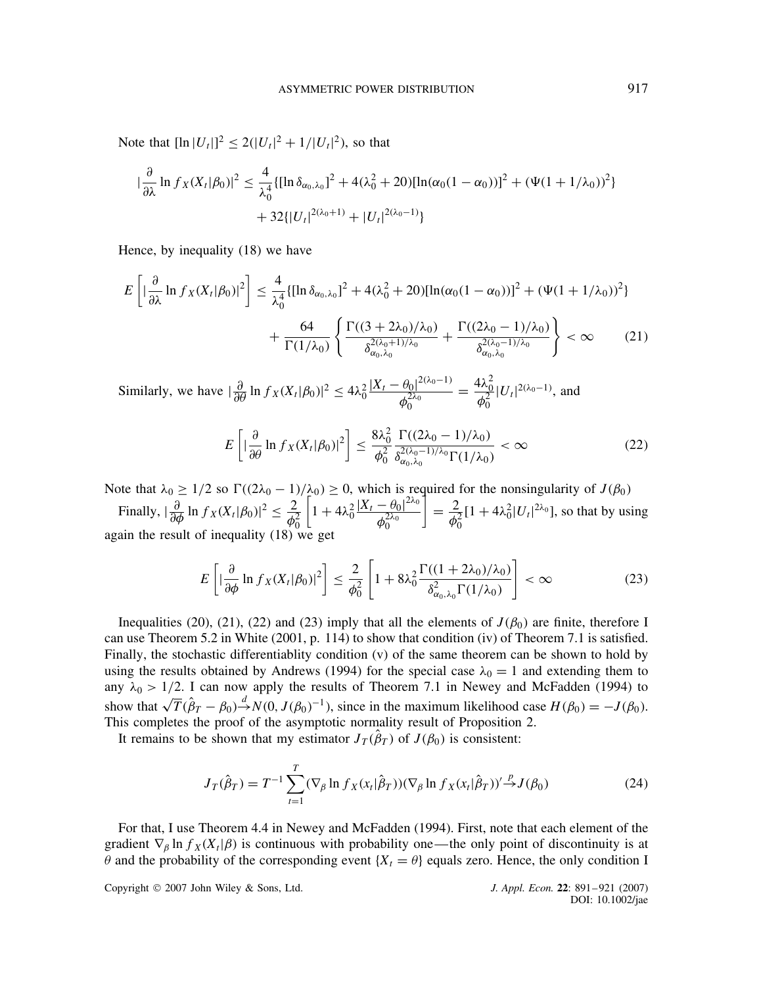Note that  $[\ln |U_t|]^2 \le 2(|U_t|^2 + 1/|U_t|^2)$ , so that

$$
\left| \frac{\partial}{\partial \lambda} \ln f_X(X_t | \beta_0) \right|^2 \le \frac{4}{\lambda_0^4} \{ [\ln \delta_{\alpha_0, \lambda_0}]^2 + 4(\lambda_0^2 + 20) [\ln(\alpha_0 (1 - \alpha_0))]^2 + (\Psi(1 + 1/\lambda_0))^2 \} + 32 \{ |U_t|^{2(\lambda_0 + 1)} + |U_t|^{2(\lambda_0 - 1)} \}
$$

Hence, by inequality (18) we have

$$
E\left[|\frac{\partial}{\partial\lambda}\ln f_X(X_t|\beta_0)|^2\right] \le \frac{4}{\lambda_0^4} \{[\ln \delta_{\alpha_0,\lambda_0}]^2 + 4(\lambda_0^2 + 20)[\ln(\alpha_0(1-\alpha_0))]^2 + (\Psi(1+1/\lambda_0))^2\} + \frac{64}{\Gamma(1/\lambda_0)} \left\{\frac{\Gamma((3+2\lambda_0)/\lambda_0)}{\delta_{\alpha_0,\lambda_0}^{2(\lambda_0+1)/\lambda_0}} + \frac{\Gamma((2\lambda_0-1)/\lambda_0)}{\delta_{\alpha_0,\lambda_0}^{2(\lambda_0-1)/\lambda_0}}\right\} < \infty
$$
 (21)

Similarly, we have  $\left|\frac{\partial}{\partial \theta} \ln f_X(X_t|\beta_0)\right|^2 \leq 4\lambda_0^2 \frac{|X_t - \theta_0|^{2(\lambda_0 - 1)}}{\phi_0^{2\lambda_0}}$  $\phi_0^{2\lambda_0}$  $=\frac{4\lambda_0^2}{\phi_0^2}$  $|U_t|^{2(\lambda_0-1)}$ , and

$$
E\left[\left|\frac{\partial}{\partial \theta} \ln f_X(X_t|\beta_0)\right|^2\right] \le \frac{8\lambda_0^2}{\phi_0^2} \frac{\Gamma((2\lambda_0 - 1)/\lambda_0)}{\delta_{\omega_0, \lambda_0}^{2(\lambda_0 - 1)/\lambda_0} \Gamma(1/\lambda_0)} < \infty
$$
\n(22)

Note that  $\lambda_0 \geq 1/2$  so  $\Gamma((2\lambda_0 - 1)/\lambda_0) \geq 0$ , which is required for the nonsingularity of  $J(\beta_0)$ 

Finally,  $|\frac{\partial}{\partial \phi} \ln f_X(X_t | \beta_0)|^2 \leq \frac{2}{\phi}$  $\phi_0^2$  $\left[1 + 4\lambda_0^2 \frac{|X_t - \theta_0|^{2\lambda_0}}{4\lambda_0}\right]$  $\phi_0^{2\lambda_0}$  $\frac{2}{\phi_0^2}$  $[1 + 4\lambda_0^2 |U_t|^{2\lambda_0}]$ , so that by using again the result of inequality (18) we get

$$
E\left[\left|\frac{\partial}{\partial \phi} \ln f_X(X_t|\beta_0)\right|^2\right] \le \frac{2}{\phi_0^2} \left[1 + 8\lambda_0^2 \frac{\Gamma((1+2\lambda_0)/\lambda_0)}{\delta_{\alpha_0,\lambda_0}^2 \Gamma(1/\lambda_0)}\right] < \infty
$$
 (23)

Inequalities (20), (21), (22) and (23) imply that all the elements of  $J(\beta_0)$  are finite, therefore I can use Theorem 5.2 in White (2001, p. 114) to show that condition (iv) of Theorem 7.1 is satisfied. Finally, the stochastic differentiablity condition (v) of the same theorem can be shown to hold by using the results obtained by Andrews (1994) for the special case  $\lambda_0 = 1$  and extending them to any  $\lambda_0 > 1/2$ . I can now apply the results of Theorem 7.1 in Newey and McFadden (1994) to show that  $\sqrt{T}(\hat{\beta}_T - \beta_0)^{\frac{d}{2}} N(0, J(\beta_0)^{-1})$ , since in the maximum likelihood case  $H(\beta_0) = -J(\beta_0)$ . This completes the proof of the asymptotic normality result of Proposition 2.

It remains to be shown that my estimator  $J_T(\hat{\beta}_T)$  of  $J(\beta_0)$  is consistent:

$$
J_T(\hat{\beta}_T) = T^{-1} \sum_{t=1}^T (\nabla_\beta \ln f_X(x_t | \hat{\beta}_T)) (\nabla_\beta \ln f_X(x_t | \hat{\beta}_T))' \stackrel{p}{\to} J(\beta_0)
$$
 (24)

For that, I use Theorem 4.4 in Newey and McFadden (1994). First, note that each element of the gradient  $\nabla_\beta \ln f_X(X_t|\beta)$  is continuous with probability one—the only point of discontinuity is at  $\theta$  and the probability of the corresponding event { $X_t = \theta$ } equals zero. Hence, the only condition I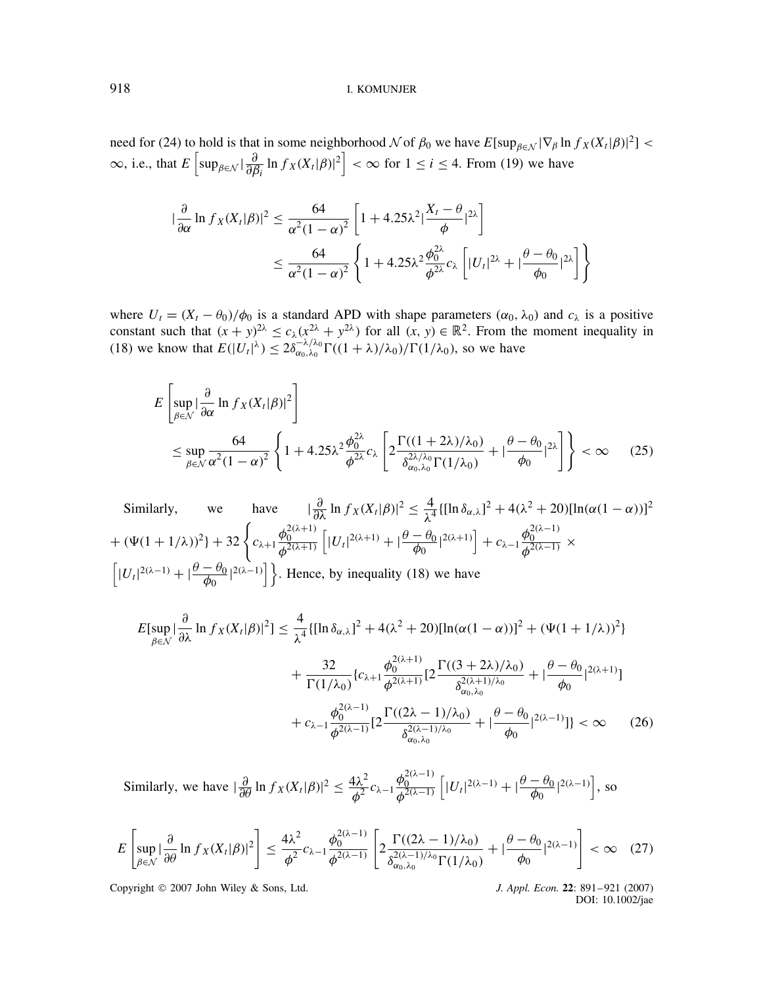need for (24) to hold is that in some neighborhood  $\mathcal N$  of  $\beta_0$  we have  $E[\sup_{\beta \in \mathcal N} |\nabla_\beta \ln f_X(X_t|\beta)|^2] <$  $\infty$ , i.e., that  $E\left[\sup_{\beta \in \mathcal{N}} \left|\frac{\partial}{\partial \beta_i}\ln f_X(X_i|\beta)\right|^2\right] < \infty$  for  $1 \le i \le 4$ . From (19) we have

$$
\begin{split} |\frac{\partial}{\partial \alpha} \ln f_X(X_t|\beta)|^2 &\leq \frac{64}{\alpha^2 (1-\alpha)^2} \left[ 1 + 4.25\lambda^2 \left| \frac{X_t - \theta}{\phi} \right|^{2\lambda} \right] \\ &\leq \frac{64}{\alpha^2 (1-\alpha)^2} \left\{ 1 + 4.25\lambda^2 \frac{\phi_0^{2\lambda}}{\phi^{2\lambda}} c_\lambda \left[ |U_t|^{2\lambda} + \left| \frac{\theta - \theta_0}{\phi_0} \right|^{2\lambda} \right] \right\} \end{split}
$$

where  $U_t = (X_t - \theta_0)/\phi_0$  is a standard APD with shape parameters  $(\alpha_0, \lambda_0)$  and  $c_\lambda$  is a positive constant such that  $(x + y)^{2\lambda} \le c_{\lambda}(x^{2\lambda} + y^{2\lambda})$  for all  $(x, y) \in \mathbb{R}^2$ . From the moment inequality in (18) we know that  $E(|U_t|^{\lambda}) \leq 2\delta_{\alpha_0,\lambda_0}^{-\lambda/\lambda_0} \Gamma((1+\lambda)/\lambda_0)/\Gamma(1/\lambda_0)$ , so we have

$$
E\left[\sup_{\beta \in \mathcal{N}} \left| \frac{\partial}{\partial \alpha} \ln f_X(X_t|\beta)|^2 \right] \right]
$$
  
\n
$$
\leq \sup_{\beta \in \mathcal{N}} \frac{64}{\alpha^2 (1-\alpha)^2} \left\{ 1 + 4.25\lambda^2 \frac{\phi_0^{2\lambda}}{\phi^{2\lambda}} c_\lambda \left[ 2 \frac{\Gamma((1+2\lambda)/\lambda_0)}{\delta_{\alpha_0,\lambda_0}^{2\lambda/\lambda_0} \Gamma(1/\lambda_0)} + |\frac{\theta - \theta_0}{\phi_0}|^{2\lambda} \right] \right\} < \infty
$$
 (25)

Similarly, we have  $\frac{\partial}{\partial \lambda} \ln f_X(X_t|\beta)|^2 \leq \frac{4}{\lambda^4} \{[\ln \delta_{\alpha,\lambda}]^2 + 4(\lambda^2 + 20)[\ln(\alpha(1-\alpha))]^2\}$  $+ (\Psi(1+1/\lambda))^2 + 32 \left\{ c_{\lambda+1} \frac{\phi_0^{2(\lambda+1)}}{\phi^{2(\lambda+1)}} \left[ |U_t|^{2(\lambda+1)} + |\frac{\theta-\theta_0}{\phi_0}|^{2(\lambda+1)} \right] + c_{\lambda-1} \frac{\phi_0^{2(\lambda-1)}}{\phi^{2(\lambda-1)}} \right. \times$  $\left[|U_t|^{2(\lambda-1)} + |\frac{\theta-\theta_0}{\phi_0}|^{2(\lambda-1)}\right]$ . Hence, by inequality (18) we have

$$
E[\sup_{\beta \in \mathcal{N}} |\frac{\partial}{\partial \lambda} \ln f_X(X_t|\beta)|^2] \le \frac{4}{\lambda^4} \{[\ln \delta_{\alpha,\lambda}]^2 + 4(\lambda^2 + 20)[\ln(\alpha(1-\alpha))]^2 + (\Psi(1+1/\lambda))^2\} + \frac{32}{\Gamma(1/\lambda_0)} \{c_{\lambda+1}\frac{\phi_0^{2(\lambda+1)}}{\phi_0^{2(\lambda+1)}} [2\frac{\Gamma((3+2\lambda)/\lambda_0)}{\delta_{\alpha_0,\lambda_0}^{2(\lambda+1)/\lambda_0}} + |\frac{\theta - \theta_0}{\phi_0}|^{2(\lambda+1)}] + c_{\lambda-1} \frac{\phi_0^{2(\lambda-1)}}{\phi_0^{2(\lambda-1)}} [2\frac{\Gamma((2\lambda-1)/\lambda_0)}{\delta_{\alpha_0,\lambda_0}^{2(\lambda-1)/\lambda_0}} + |\frac{\theta - \theta_0}{\phi_0}|^{2(\lambda-1)}] \} < \infty \quad (26)
$$

Similarly, we have  $|\frac{\partial}{\partial \theta} \ln f_X(X_t|\beta)|^2 \leq \frac{4\lambda^2}{\phi^2} c_{\lambda-1}$  $\frac{\phi_0^{2(\lambda-1)}}{\phi^{2(\lambda-1)}} \left[ |U_t|^{2(\lambda-1)} + |\frac{\theta - \theta_0}{\phi_0}|^{2(\lambda-1)} \right]$ , so

$$
E\left[\sup_{\beta\in\mathcal{N}}\left|\frac{\partial}{\partial\theta}\ln f_X(X_t|\beta)\right|^2\right] \le \frac{4\lambda^2}{\phi^2}c_{\lambda-1}\frac{\phi_0^{2(\lambda-1)}}{\phi^{2(\lambda-1)}}\left[2\frac{\Gamma((2\lambda-1)/\lambda_0)}{\delta_{\alpha_0,\lambda_0}^{2(\lambda-1)/\lambda_0}\Gamma(1/\lambda_0)}+\left|\frac{\theta-\theta_0}{\phi_0}\right|^{2(\lambda-1)}\right] < \infty \quad (27)
$$

Copyright 2007 John Wiley & Sons, Ltd. *J. Appl. Econ.* **22**: 891–921 (2007)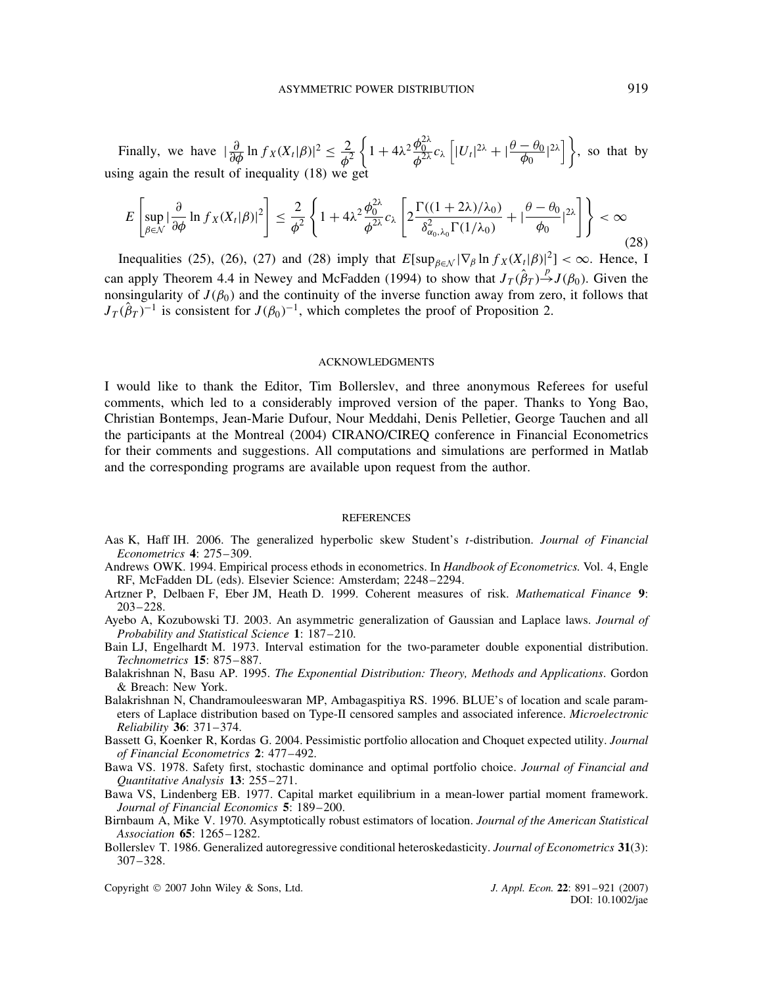Finally, we have  $\left|\frac{\partial}{\partial \phi} \ln f_X(X_t|\beta)\right|^2 \leq \frac{2}{\phi^2}$  $\phi^2$  $\left\{1+4\lambda^2 \frac{\phi_0^{2\lambda}}{\phi^{2\lambda}} c_\lambda \left[|U_t|^{2\lambda}+|\frac{\theta-\theta_0}{\phi_0}|^{2\lambda}\right]\right\}$ , so that by using again the result of inequality (18) we get

$$
E\left[\sup_{\beta\in\mathcal{N}}\left|\frac{\partial}{\partial\phi}\ln f_X(X_t|\beta)\right|^2\right] \leq \frac{2}{\phi^2} \left\{1+4\lambda^2 \frac{\phi_0^{2\lambda}}{\phi^{2\lambda}}c_\lambda\left[2\frac{\Gamma((1+2\lambda)/\lambda_0)}{\delta_{\alpha_0,\lambda_0}^2\Gamma(1/\lambda_0)}+\left|\frac{\theta-\theta_0}{\phi_0}\right|^{2\lambda}\right]\right\} < \infty
$$
\n(28)

Inequalities (25), (26), (27) and (28) imply that  $E[\sup_{\beta \in \mathcal{N}} |\nabla_{\beta} \ln f_X(X_t|\beta)|^2] < \infty$ . Hence, I can apply Theorem 4.4 in Newey and McFadden (1994) to show that  $J_T(\hat{\beta}_T) \stackrel{p}{\rightarrow} J(\beta_0)$ . Given the nonsingularity of  $J(\beta_0)$  and the continuity of the inverse function away from zero, it follows that  $J_T(\hat{\beta}_T)^{-1}$  is consistent for  $J(\beta_0)^{-1}$ , which completes the proof of Proposition 2.

#### ACKNOWLEDGMENTS

I would like to thank the Editor, Tim Bollerslev, and three anonymous Referees for useful comments, which led to a considerably improved version of the paper. Thanks to Yong Bao, Christian Bontemps, Jean-Marie Dufour, Nour Meddahi, Denis Pelletier, George Tauchen and all the participants at the Montreal (2004) CIRANO/CIREQ conference in Financial Econometrics for their comments and suggestions. All computations and simulations are performed in Matlab and the corresponding programs are available upon request from the author.

#### **REFERENCES**

- Aas K, Haff IH. 2006. The generalized hyperbolic skew Student's t-distribution. *Journal of Financial Econometrics* **4**: 275–309.
- Andrews OWK. 1994. Empirical process ethods in econometrics. In *Handbook of Econometrics.* Vol. 4, Engle RF, McFadden DL (eds). Elsevier Science: Amsterdam; 2248–2294.
- Artzner P, Delbaen F, Eber JM, Heath D. 1999. Coherent measures of risk. *Mathematical Finance* **9**: 203–228.
- Ayebo A, Kozubowski TJ. 2003. An asymmetric generalization of Gaussian and Laplace laws. *Journal of Probability and Statistical Science* **1**: 187–210.
- Bain LJ, Engelhardt M. 1973. Interval estimation for the two-parameter double exponential distribution. *Technometrics* **15**: 875–887.
- Balakrishnan N, Basu AP. 1995. *The Exponential Distribution: Theory, Methods and Applications*. Gordon & Breach: New York.
- Balakrishnan N, Chandramouleeswaran MP, Ambagaspitiya RS. 1996. BLUE's of location and scale parameters of Laplace distribution based on Type-II censored samples and associated inference. *Microelectronic Reliability* **36**: 371–374.
- Bassett G, Koenker R, Kordas G. 2004. Pessimistic portfolio allocation and Choquet expected utility. *Journal of Financial Econometrics* **2**: 477–492.
- Bawa VS. 1978. Safety first, stochastic dominance and optimal portfolio choice. *Journal of Financial and Quantitative Analysis* **13**: 255–271.
- Bawa VS, Lindenberg EB. 1977. Capital market equilibrium in a mean-lower partial moment framework. *Journal of Financial Economics* **5**: 189–200.
- Birnbaum A, Mike V. 1970. Asymptotically robust estimators of location. *Journal of the American Statistical Association* **65**: 1265–1282.
- Bollerslev T. 1986. Generalized autoregressive conditional heteroskedasticity. *Journal of Econometrics* **31**(3): 307–328.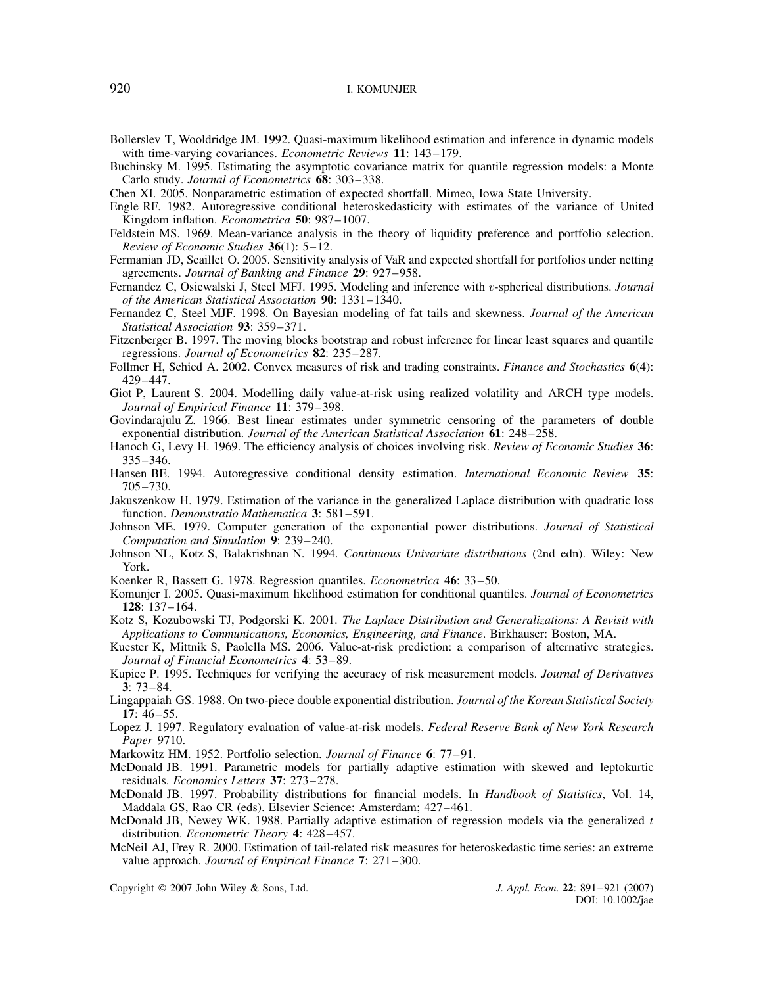- Bollerslev T, Wooldridge JM. 1992. Quasi-maximum likelihood estimation and inference in dynamic models with time-varying covariances. *Econometric Reviews* **11**: 143–179.
- Buchinsky M. 1995. Estimating the asymptotic covariance matrix for quantile regression models: a Monte Carlo study. *Journal of Econometrics* **68**: 303–338.
- Chen XI. 2005. Nonparametric estimation of expected shortfall. Mimeo, Iowa State University.
- Engle RF. 1982. Autoregressive conditional heteroskedasticity with estimates of the variance of United Kingdom inflation. *Econometrica* **50**: 987–1007.
- Feldstein MS. 1969. Mean-variance analysis in the theory of liquidity preference and portfolio selection. *Review of Economic Studies* **36**(1): 5–12.
- Fermanian JD, Scaillet O. 2005. Sensitivity analysis of VaR and expected shortfall for portfolios under netting agreements. *Journal of Banking and Finance* **29**: 927–958.
- Fernandez C, Osiewalski J, Steel MFJ. 1995. Modeling and inference with v-spherical distributions. *Journal of the American Statistical Association* **90**: 1331–1340.
- Fernandez C, Steel MJF. 1998. On Bayesian modeling of fat tails and skewness. *Journal of the American Statistical Association* **93**: 359–371.
- Fitzenberger B. 1997. The moving blocks bootstrap and robust inference for linear least squares and quantile regressions. *Journal of Econometrics* **82**: 235–287.
- Follmer H, Schied A. 2002. Convex measures of risk and trading constraints. *Finance and Stochastics* **6**(4): 429–447.
- Giot P, Laurent S. 2004. Modelling daily value-at-risk using realized volatility and ARCH type models. *Journal of Empirical Finance* **11**: 379–398.
- Govindarajulu Z. 1966. Best linear estimates under symmetric censoring of the parameters of double exponential distribution. *Journal of the American Statistical Association* **61**: 248–258.
- Hanoch G, Levy H. 1969. The efficiency analysis of choices involving risk. *Review of Economic Studies* **36**: 335–346.
- Hansen BE. 1994. Autoregressive conditional density estimation. *International Economic Review* **35**: 705–730.
- Jakuszenkow H. 1979. Estimation of the variance in the generalized Laplace distribution with quadratic loss function. *Demonstratio Mathematica* **3**: 581–591.
- Johnson ME. 1979. Computer generation of the exponential power distributions. *Journal of Statistical Computation and Simulation* **9**: 239–240.
- Johnson NL, Kotz S, Balakrishnan N. 1994. *Continuous Univariate distributions* (2nd edn). Wiley: New York.
- Koenker R, Bassett G. 1978. Regression quantiles. *Econometrica* **46**: 33–50.
- Komunjer I. 2005. Quasi-maximum likelihood estimation for conditional quantiles. *Journal of Econometrics* **128**: 137–164.
- Kotz S, Kozubowski TJ, Podgorski K. 2001. *The Laplace Distribution and Generalizations: A Revisit with Applications to Communications, Economics, Engineering, and Finance*. Birkhauser: Boston, MA.
- Kuester K, Mittnik S, Paolella MS. 2006. Value-at-risk prediction: a comparison of alternative strategies. *Journal of Financial Econometrics* **4**: 53–89.
- Kupiec P. 1995. Techniques for verifying the accuracy of risk measurement models. *Journal of Derivatives* **3**: 73–84.
- Lingappaiah GS. 1988. On two-piece double exponential distribution. *Journal of the Korean Statistical Society* **17**: 46–55.
- Lopez J. 1997. Regulatory evaluation of value-at-risk models. *Federal Reserve Bank of New York Research Paper* 9710.

Markowitz HM. 1952. Portfolio selection. *Journal of Finance* **6**: 77–91.

- McDonald JB. 1991. Parametric models for partially adaptive estimation with skewed and leptokurtic residuals. *Economics Letters* **37**: 273–278.
- McDonald JB. 1997. Probability distributions for financial models. In *Handbook of Statistics*, Vol. 14, Maddala GS, Rao CR (eds). Elsevier Science: Amsterdam; 427–461.
- McDonald JB, Newey WK. 1988. Partially adaptive estimation of regression models via the generalized t distribution. *Econometric Theory* **4**: 428–457.
- McNeil AJ, Frey R. 2000. Estimation of tail-related risk measures for heteroskedastic time series: an extreme value approach. *Journal of Empirical Finance* **7**: 271–300.